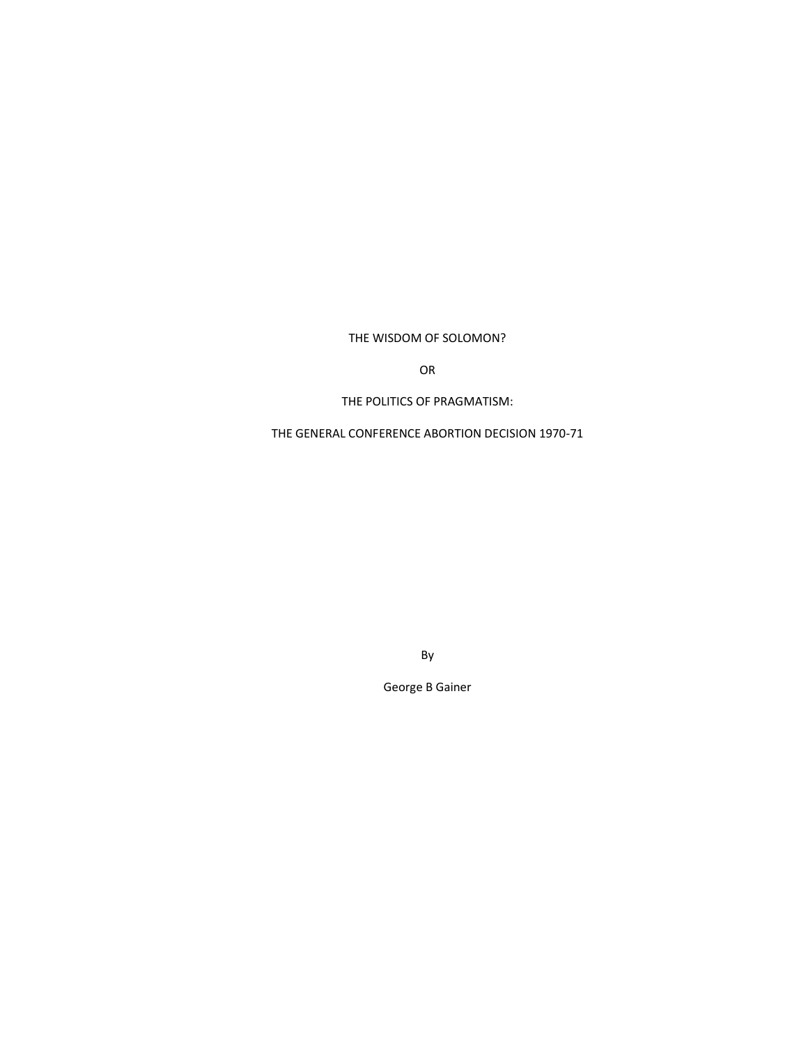# THE WISDOM OF SOLOMON?

OR

THE POLITICS OF PRAGMATISM:

THE GENERAL CONFERENCE ABORTION DECISION 1970-71

By

George B Gainer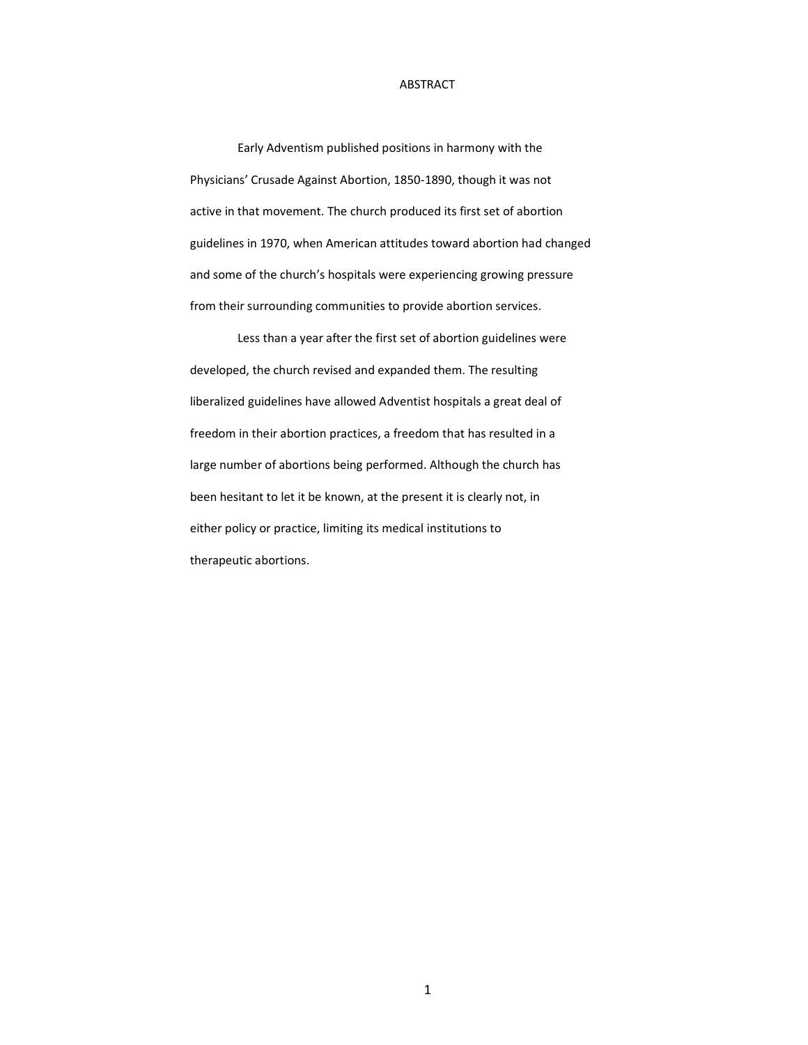# ABSTRACT

Early Adventism published positions in harmony with the Physicians' Crusade Against Abortion, 1850-1890, though it was not active in that movement. The church produced its first set of abortion guidelines in 1970, when American attitudes toward abortion had changed and some of the church's hospitals were experiencing growing pressure from their surrounding communities to provide abortion services.

Less than a year after the first set of abortion guidelines were developed, the church revised and expanded them. The resulting liberalized guidelines have allowed Adventist hospitals a great deal of freedom in their abortion practices, a freedom that has resulted in a large number of abortions being performed. Although the church has been hesitant to let it be known, at the present it is clearly not, in either policy or practice, limiting its medical institutions to therapeutic abortions.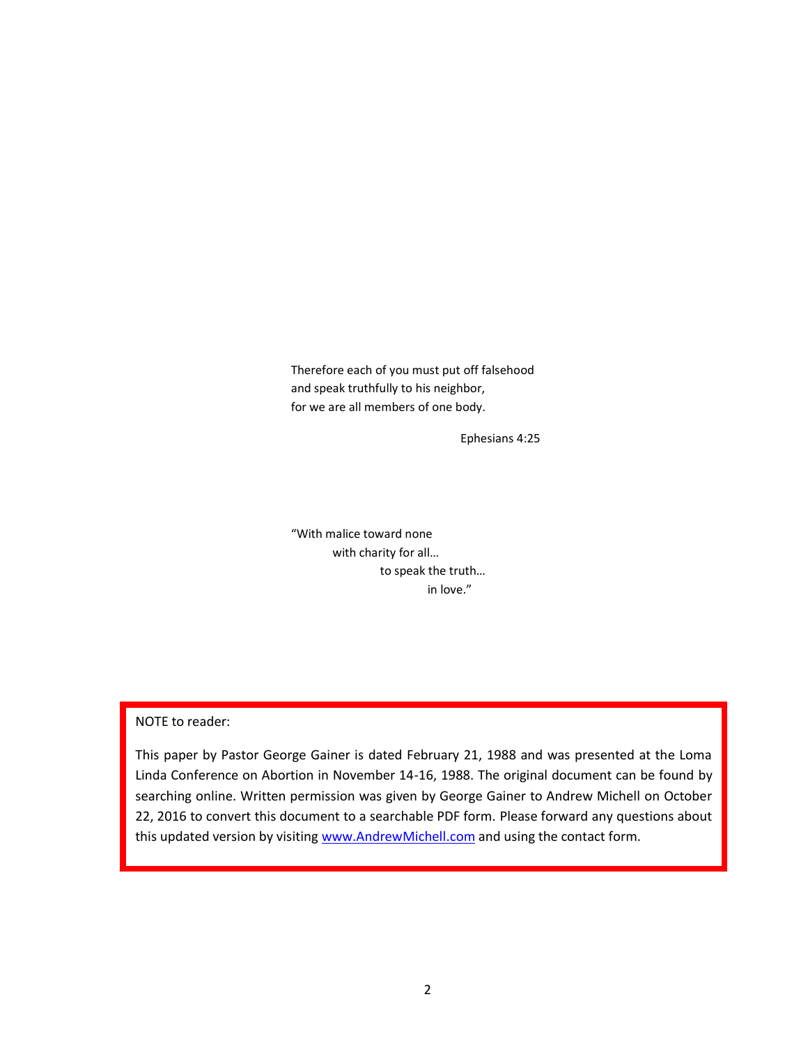Therefore each of you must put off falsehood and speak truthfully to his neighbor, for we are all members of one body.

Ephesians 4:25

"With malice toward none with charity for all… to speak the truth… in love."

NOTE to reader:

This paper by Pastor George Gainer is dated February 21, 1988 and was presented at the Loma Linda Conference on Abortion in November 14-16, 1988. The original document can be found by searching online. Written permission was given by George Gainer to Andrew Michell on October 22, 2016 to convert this document to a searchable PDF form. Please forward any questions about this updated version by visiting [www.AndrewMichell.com](http://www.andrewmichell.com/) and using the contact form.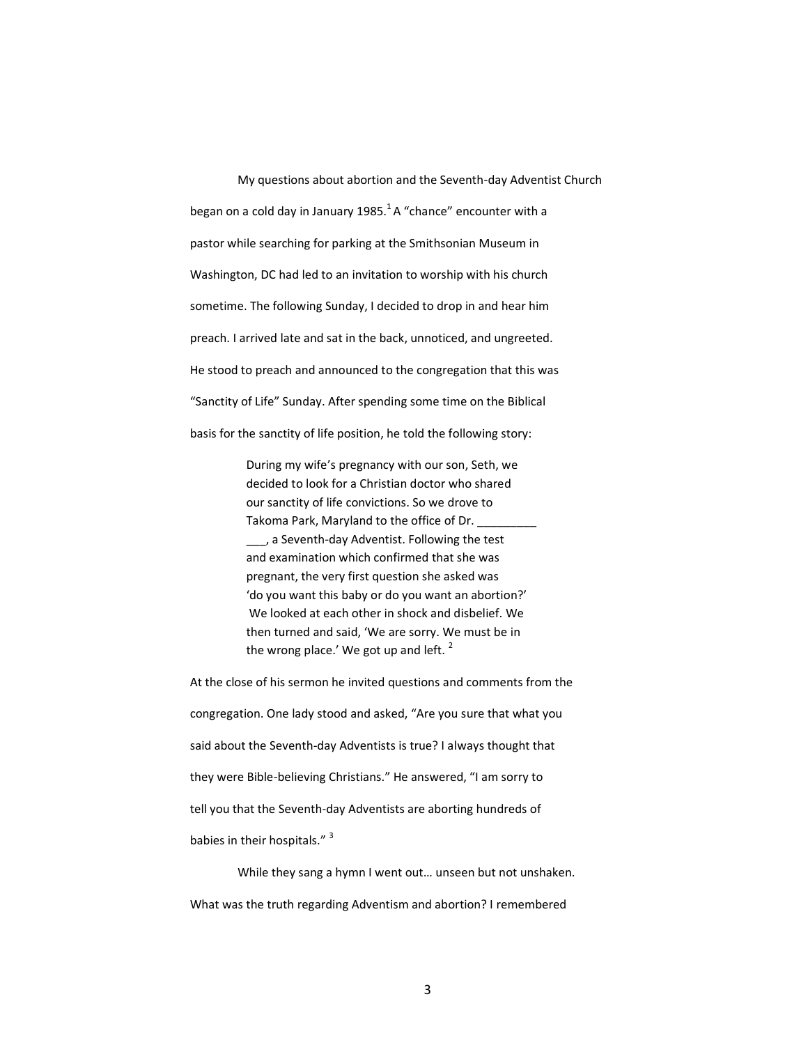My questions about abortion and the Seventh-day Adventist Church began on a cold day in January 1985. $<sup>1</sup>$ A "chance" encounter with a</sup> pastor while searching for parking at the Smithsonian Museum in Washington, DC had led to an invitation to worship with his church sometime. The following Sunday, I decided to drop in and hear him preach. I arrived late and sat in the back, unnoticed, and ungreeted. He stood to preach and announced to the congregation that this was "Sanctity of Life" Sunday. After spending some time on the Biblical basis for the sanctity of life position, he told the following story:

> During my wife's pregnancy with our son, Seth, we decided to look for a Christian doctor who shared our sanctity of life convictions. So we drove to Takoma Park, Maryland to the office of Dr. \_\_\_, a Seventh-day Adventist. Following the test and examination which confirmed that she was pregnant, the very first question she asked was 'do you want this baby or do you want an abortion?' We looked at each other in shock and disbelief. We then turned and said, 'We are sorry. We must be in the wrong place.' We got up and left. $<sup>2</sup>$ </sup>

At the close of his sermon he invited questions and comments from the congregation. One lady stood and asked, "Are you sure that what you said about the Seventh-day Adventists is true? I always thought that they were Bible-believing Christians." He answered, "I am sorry to tell you that the Seventh-day Adventists are aborting hundreds of babies in their hospitals." <sup>3</sup>

While they sang a hymn I went out… unseen but not unshaken. What was the truth regarding Adventism and abortion? I remembered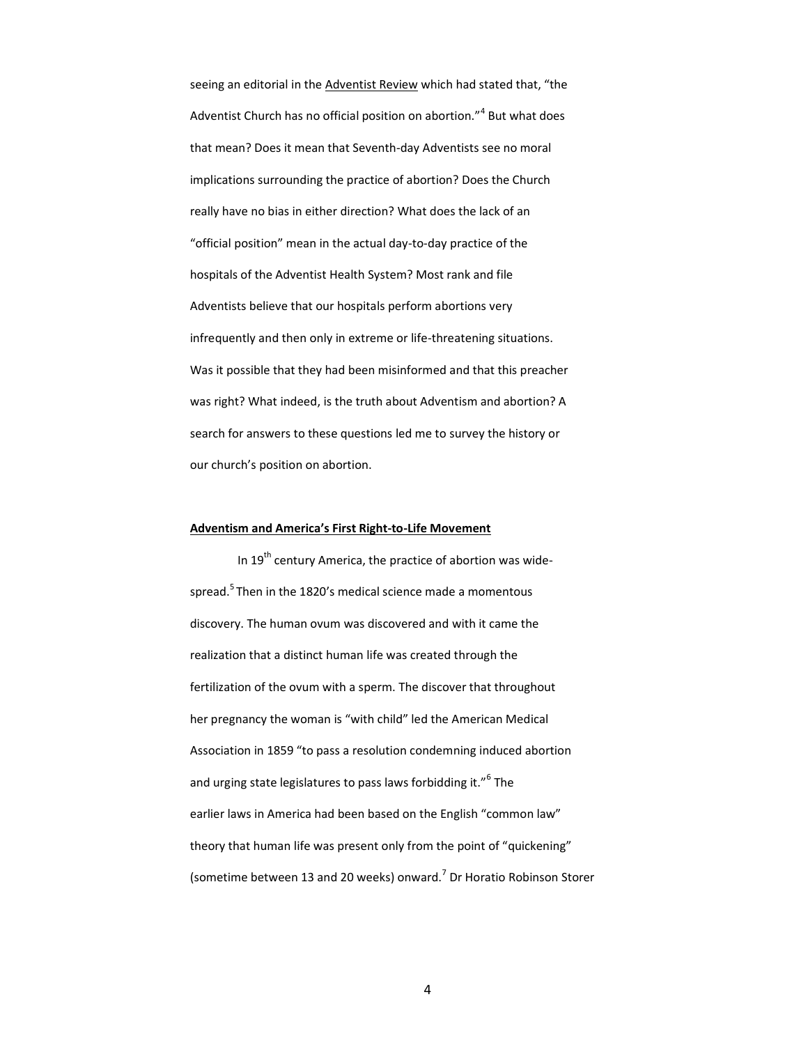seeing an editorial in the Adventist Review which had stated that, "the Adventist Church has no official position on abortion."<sup>4</sup> But what does that mean? Does it mean that Seventh-day Adventists see no moral implications surrounding the practice of abortion? Does the Church really have no bias in either direction? What does the lack of an "official position" mean in the actual day-to-day practice of the hospitals of the Adventist Health System? Most rank and file Adventists believe that our hospitals perform abortions very infrequently and then only in extreme or life-threatening situations. Was it possible that they had been misinformed and that this preacher was right? What indeed, is the truth about Adventism and abortion? A search for answers to these questions led me to survey the history or our church's position on abortion.

#### **Adventism and America's First Right-to-Life Movement**

In 19<sup>th</sup> century America, the practice of abortion was widespread.<sup>5</sup> Then in the 1820's medical science made a momentous discovery. The human ovum was discovered and with it came the realization that a distinct human life was created through the fertilization of the ovum with a sperm. The discover that throughout her pregnancy the woman is "with child" led the American Medical Association in 1859 "to pass a resolution condemning induced abortion and urging state legislatures to pass laws forbidding it."<sup>6</sup> The earlier laws in America had been based on the English "common law" theory that human life was present only from the point of "quickening" (sometime between 13 and 20 weeks) onward.<sup>7</sup> Dr Horatio Robinson Storer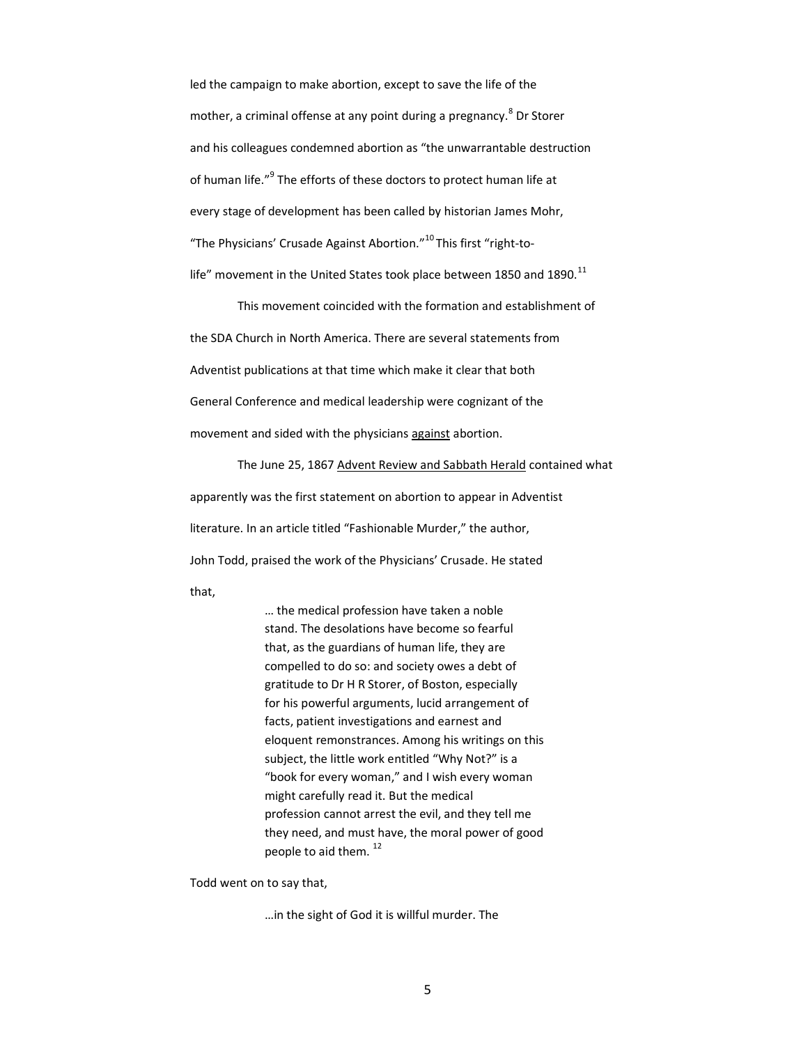led the campaign to make abortion, except to save the life of the mother, a criminal offense at any point during a pregnancy.<sup>8</sup> Dr Storer and his colleagues condemned abortion as "the unwarrantable destruction of human life."<sup>9</sup> The efforts of these doctors to protect human life at every stage of development has been called by historian James Mohr, "The Physicians' Crusade Against Abortion."<sup>10</sup>This first "right-tolife" movement in the United States took place between 1850 and 1890. $^{11}$ 

This movement coincided with the formation and establishment of the SDA Church in North America. There are several statements from Adventist publications at that time which make it clear that both General Conference and medical leadership were cognizant of the movement and sided with the physicians against abortion.

The June 25, 1867 Advent Review and Sabbath Herald contained what apparently was the first statement on abortion to appear in Adventist literature. In an article titled "Fashionable Murder," the author, John Todd, praised the work of the Physicians' Crusade. He stated that,

> … the medical profession have taken a noble stand. The desolations have become so fearful that, as the guardians of human life, they are compelled to do so: and society owes a debt of gratitude to Dr H R Storer, of Boston, especially for his powerful arguments, lucid arrangement of facts, patient investigations and earnest and eloquent remonstrances. Among his writings on this subject, the little work entitled "Why Not?" is a "book for every woman," and I wish every woman might carefully read it. But the medical profession cannot arrest the evil, and they tell me they need, and must have, the moral power of good people to aid them.<sup>12</sup>

Todd went on to say that,

…in the sight of God it is willful murder. The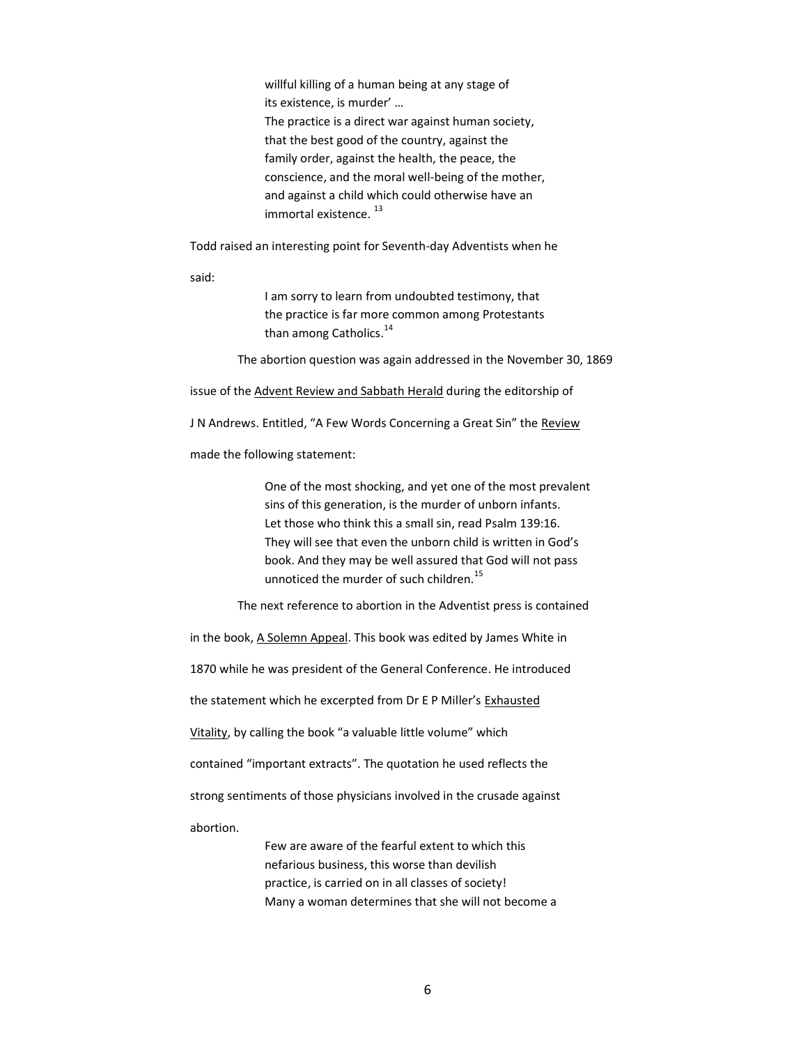willful killing of a human being at any stage of its existence, is murder' … The practice is a direct war against human society, that the best good of the country, against the family order, against the health, the peace, the conscience, and the moral well-being of the mother, and against a child which could otherwise have an immortal existence.<sup>13</sup>

Todd raised an interesting point for Seventh-day Adventists when he

said:

I am sorry to learn from undoubted testimony, that the practice is far more common among Protestants than among Catholics.<sup>14</sup>

The abortion question was again addressed in the November 30, 1869

issue of the Advent Review and Sabbath Herald during the editorship of

J N Andrews. Entitled, "A Few Words Concerning a Great Sin" the Review

made the following statement:

One of the most shocking, and yet one of the most prevalent sins of this generation, is the murder of unborn infants. Let those who think this a small sin, read Psalm 139:16. They will see that even the unborn child is written in God's book. And they may be well assured that God will not pass unnoticed the murder of such children.<sup>15</sup>

The next reference to abortion in the Adventist press is contained

in the book, A Solemn Appeal. This book was edited by James White in

1870 while he was president of the General Conference. He introduced

the statement which he excerpted from Dr E P Miller's Exhausted

Vitality, by calling the book "a valuable little volume" which

contained "important extracts". The quotation he used reflects the

strong sentiments of those physicians involved in the crusade against

abortion.

Few are aware of the fearful extent to which this nefarious business, this worse than devilish practice, is carried on in all classes of society! Many a woman determines that she will not become a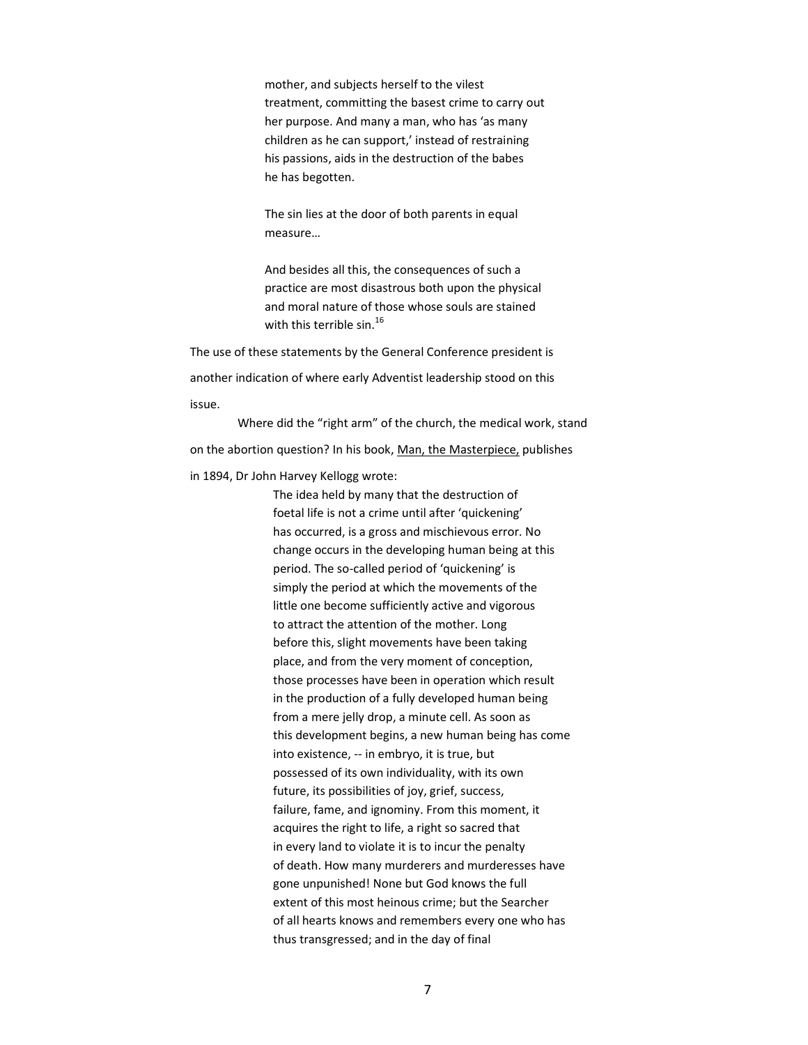mother, and subjects herself to the vilest treatment, committing the basest crime to carry out her purpose. And many a man, who has 'as many children as he can support,' instead of restraining his passions, aids in the destruction of the babes he has begotten.

The sin lies at the door of both parents in equal measure…

And besides all this, the consequences of such a practice are most disastrous both upon the physical and moral nature of those whose souls are stained with this terrible sin.<sup>16</sup>

The use of these statements by the General Conference president is another indication of where early Adventist leadership stood on this issue.

Where did the "right arm" of the church, the medical work, stand on the abortion question? In his book, Man, the Masterpiece, publishes

in 1894, Dr John Harvey Kellogg wrote:

The idea held by many that the destruction of foetal life is not a crime until after 'quickening' has occurred, is a gross and mischievous error. No change occurs in the developing human being at this period. The so-called period of 'quickening' is simply the period at which the movements of the little one become sufficiently active and vigorous to attract the attention of the mother. Long before this, slight movements have been taking place, and from the very moment of conception, those processes have been in operation which result in the production of a fully developed human being from a mere jelly drop, a minute cell. As soon as this development begins, a new human being has come into existence, -- in embryo, it is true, but possessed of its own individuality, with its own future, its possibilities of joy, grief, success, failure, fame, and ignominy. From this moment, it acquires the right to life, a right so sacred that in every land to violate it is to incur the penalty of death. How many murderers and murderesses have gone unpunished! None but God knows the full extent of this most heinous crime; but the Searcher of all hearts knows and remembers every one who has thus transgressed; and in the day of final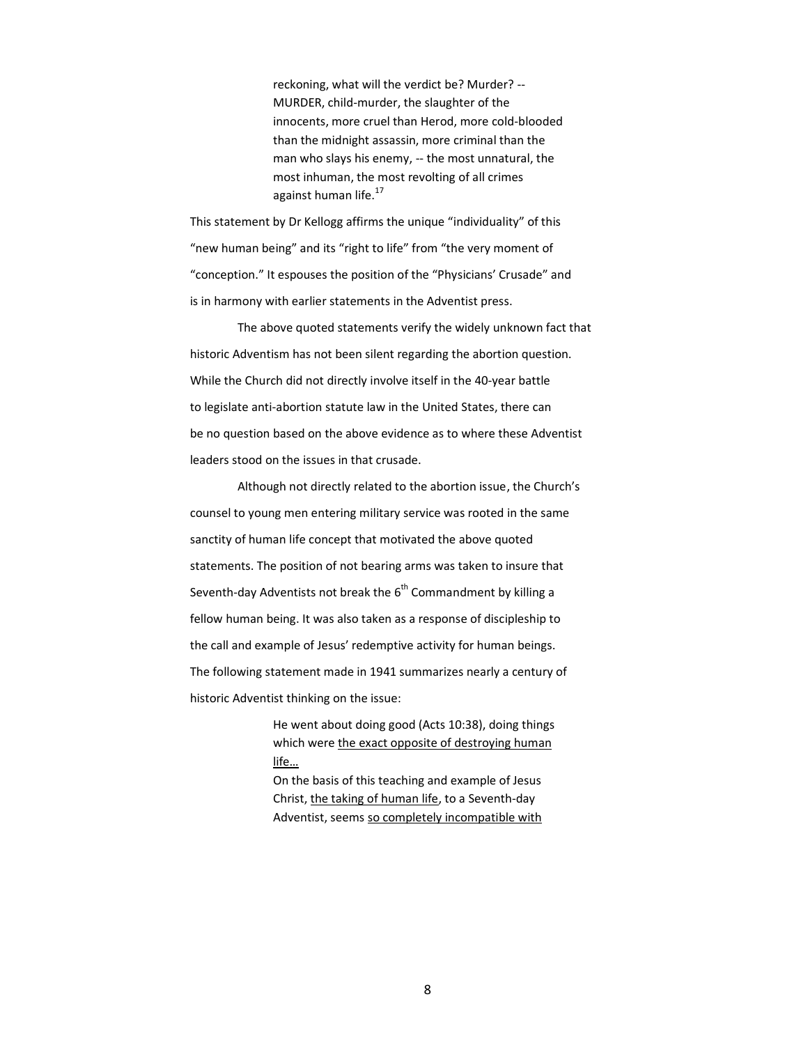reckoning, what will the verdict be? Murder? -- MURDER, child-murder, the slaughter of the innocents, more cruel than Herod, more cold-blooded than the midnight assassin, more criminal than the man who slays his enemy, -- the most unnatural, the most inhuman, the most revolting of all crimes against human life.<sup>17</sup>

This statement by Dr Kellogg affirms the unique "individuality" of this "new human being" and its "right to life" from "the very moment of "conception." It espouses the position of the "Physicians' Crusade" and is in harmony with earlier statements in the Adventist press.

The above quoted statements verify the widely unknown fact that historic Adventism has not been silent regarding the abortion question. While the Church did not directly involve itself in the 40-year battle to legislate anti-abortion statute law in the United States, there can be no question based on the above evidence as to where these Adventist leaders stood on the issues in that crusade.

Although not directly related to the abortion issue, the Church's counsel to young men entering military service was rooted in the same sanctity of human life concept that motivated the above quoted statements. The position of not bearing arms was taken to insure that Seventh-day Adventists not break the  $6^{th}$  Commandment by killing a fellow human being. It was also taken as a response of discipleship to the call and example of Jesus' redemptive activity for human beings. The following statement made in 1941 summarizes nearly a century of historic Adventist thinking on the issue:

> He went about doing good (Acts 10:38), doing things which were the exact opposite of destroying human life…

On the basis of this teaching and example of Jesus Christ, the taking of human life, to a Seventh-day Adventist, seems so completely incompatible with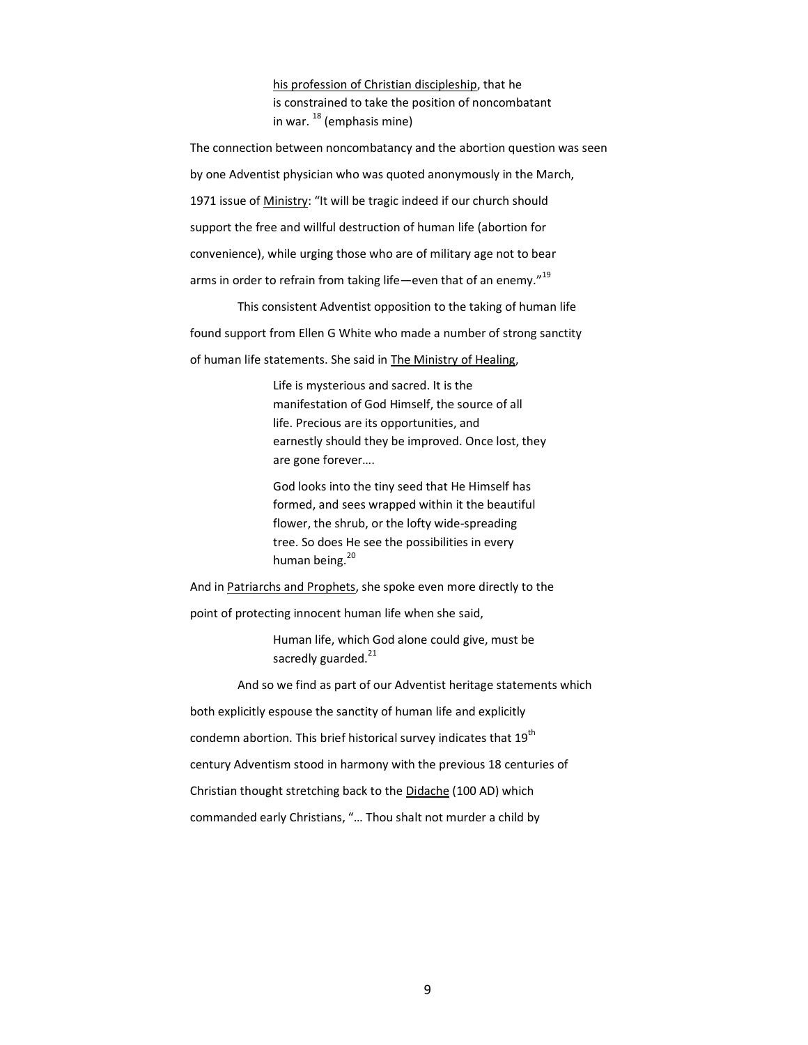his profession of Christian discipleship, that he is constrained to take the position of noncombatant in war.  $^{18}$  (emphasis mine)

The connection between noncombatancy and the abortion question was seen by one Adventist physician who was quoted anonymously in the March, 1971 issue of Ministry: "It will be tragic indeed if our church should support the free and willful destruction of human life (abortion for convenience), while urging those who are of military age not to bear arms in order to refrain from taking life—even that of an enemy."<sup>19</sup>

This consistent Adventist opposition to the taking of human life found support from Ellen G White who made a number of strong sanctity of human life statements. She said in The Ministry of Healing,

> Life is mysterious and sacred. It is the manifestation of God Himself, the source of all life. Precious are its opportunities, and earnestly should they be improved. Once lost, they are gone forever….

God looks into the tiny seed that He Himself has formed, and sees wrapped within it the beautiful flower, the shrub, or the lofty wide-spreading tree. So does He see the possibilities in every human being.<sup>20</sup>

And in Patriarchs and Prophets, she spoke even more directly to the point of protecting innocent human life when she said,

> Human life, which God alone could give, must be sacredly guarded.<sup>21</sup>

And so we find as part of our Adventist heritage statements which both explicitly espouse the sanctity of human life and explicitly condemn abortion. This brief historical survey indicates that  $19^{th}$ century Adventism stood in harmony with the previous 18 centuries of Christian thought stretching back to the Didache (100 AD) which commanded early Christians, "… Thou shalt not murder a child by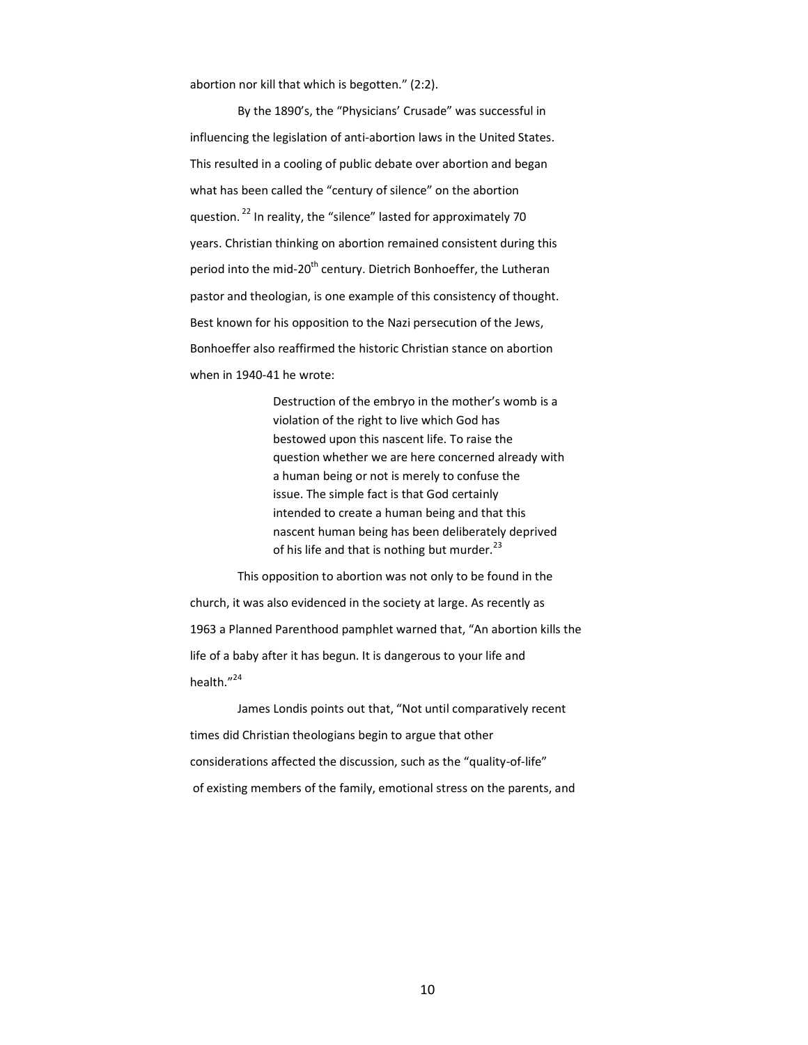abortion nor kill that which is begotten." (2:2).

By the 1890's, the "Physicians' Crusade" was successful in influencing the legislation of anti-abortion laws in the United States. This resulted in a cooling of public debate over abortion and began what has been called the "century of silence" on the abortion question. <sup>22</sup> In reality, the "silence" lasted for approximately 70 years. Christian thinking on abortion remained consistent during this period into the mid-20<sup>th</sup> century. Dietrich Bonhoeffer, the Lutheran pastor and theologian, is one example of this consistency of thought. Best known for his opposition to the Nazi persecution of the Jews, Bonhoeffer also reaffirmed the historic Christian stance on abortion when in 1940-41 he wrote:

> Destruction of the embryo in the mother's womb is a violation of the right to live which God has bestowed upon this nascent life. To raise the question whether we are here concerned already with a human being or not is merely to confuse the issue. The simple fact is that God certainly intended to create a human being and that this nascent human being has been deliberately deprived of his life and that is nothing but murder.<sup>23</sup>

This opposition to abortion was not only to be found in the church, it was also evidenced in the society at large. As recently as 1963 a Planned Parenthood pamphlet warned that, "An abortion kills the life of a baby after it has begun. It is dangerous to your life and health."24

James Londis points out that, "Not until comparatively recent times did Christian theologians begin to argue that other considerations affected the discussion, such as the "quality-of-life" of existing members of the family, emotional stress on the parents, and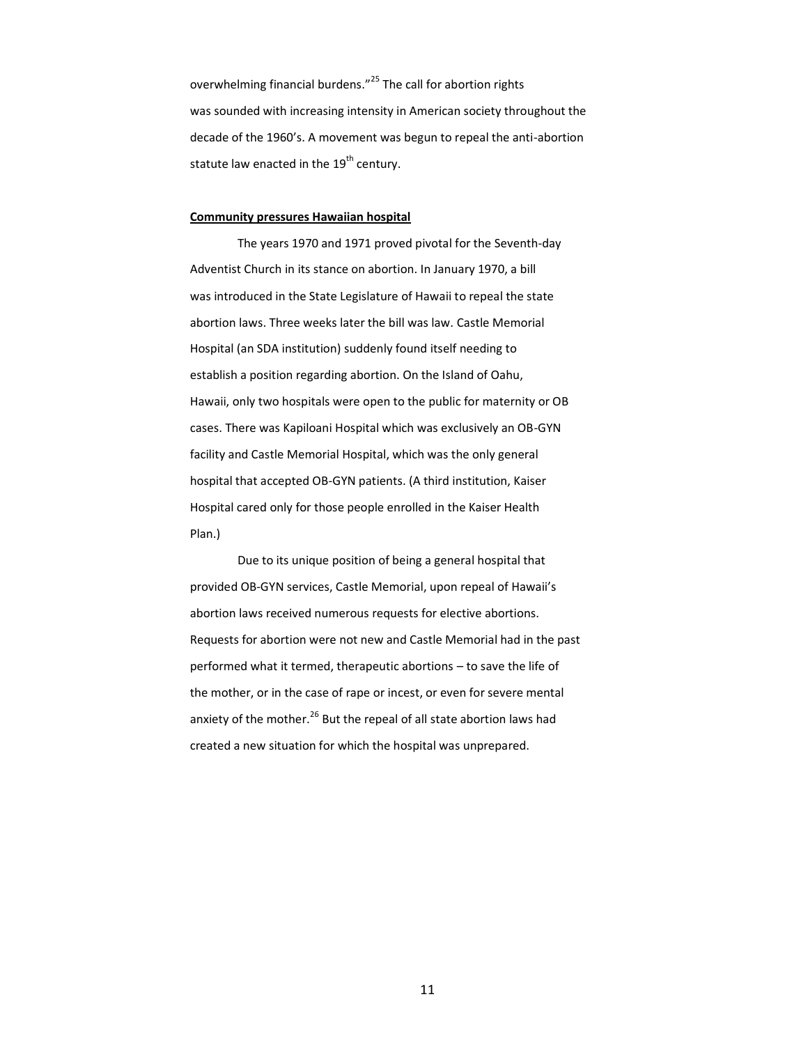overwhelming financial burdens."<sup>25</sup> The call for abortion rights was sounded with increasing intensity in American society throughout the decade of the 1960's. A movement was begun to repeal the anti-abortion statute law enacted in the  $19^{th}$  century.

#### **Community pressures Hawaiian hospital**

The years 1970 and 1971 proved pivotal for the Seventh-day Adventist Church in its stance on abortion. In January 1970, a bill was introduced in the State Legislature of Hawaii to repeal the state abortion laws. Three weeks later the bill was law. Castle Memorial Hospital (an SDA institution) suddenly found itself needing to establish a position regarding abortion. On the Island of Oahu, Hawaii, only two hospitals were open to the public for maternity or OB cases. There was Kapiloani Hospital which was exclusively an OB-GYN facility and Castle Memorial Hospital, which was the only general hospital that accepted OB-GYN patients. (A third institution, Kaiser Hospital cared only for those people enrolled in the Kaiser Health Plan.)

Due to its unique position of being a general hospital that provided OB-GYN services, Castle Memorial, upon repeal of Hawaii's abortion laws received numerous requests for elective abortions. Requests for abortion were not new and Castle Memorial had in the past performed what it termed, therapeutic abortions – to save the life of the mother, or in the case of rape or incest, or even for severe mental anxiety of the mother. $^{26}$  But the repeal of all state abortion laws had created a new situation for which the hospital was unprepared.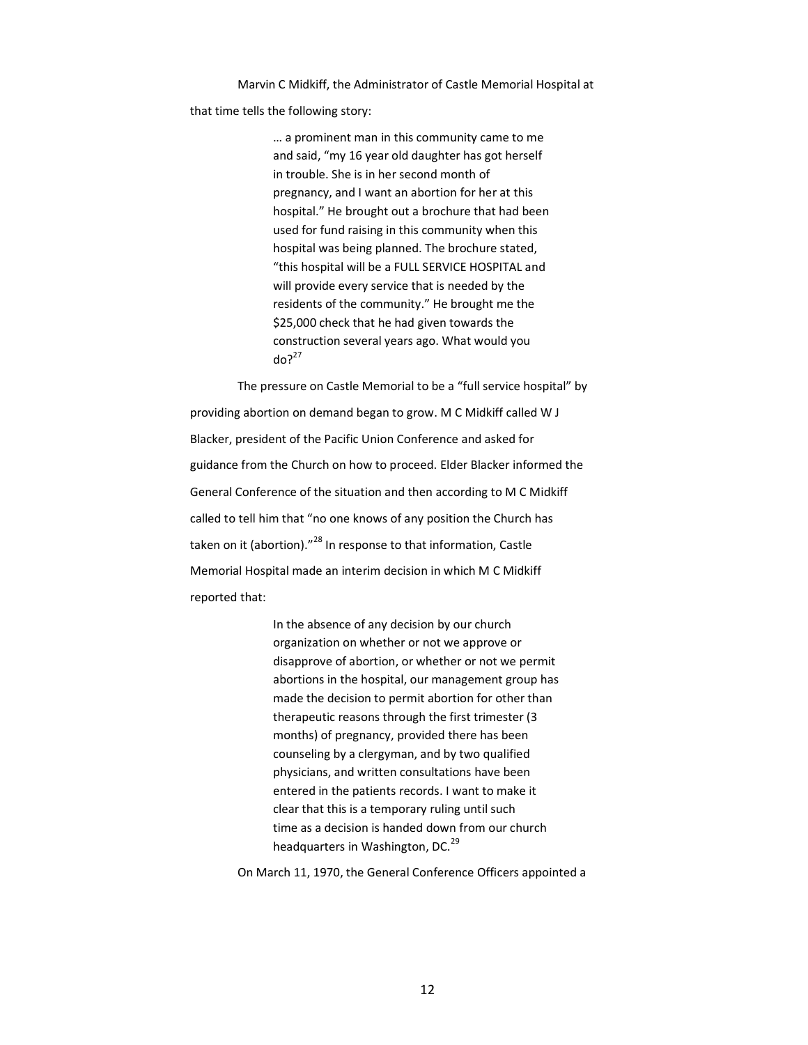Marvin C Midkiff, the Administrator of Castle Memorial Hospital at

that time tells the following story:

… a prominent man in this community came to me and said, "my 16 year old daughter has got herself in trouble. She is in her second month of pregnancy, and I want an abortion for her at this hospital." He brought out a brochure that had been used for fund raising in this community when this hospital was being planned. The brochure stated, "this hospital will be a FULL SERVICE HOSPITAL and will provide every service that is needed by the residents of the community." He brought me the \$25,000 check that he had given towards the construction several years ago. What would you  $d\rho^{27}$ 

The pressure on Castle Memorial to be a "full service hospital" by providing abortion on demand began to grow. M C Midkiff called W J Blacker, president of the Pacific Union Conference and asked for guidance from the Church on how to proceed. Elder Blacker informed the General Conference of the situation and then according to M C Midkiff called to tell him that "no one knows of any position the Church has taken on it (abortion)."<sup>28</sup> In response to that information, Castle Memorial Hospital made an interim decision in which M C Midkiff reported that:

> In the absence of any decision by our church organization on whether or not we approve or disapprove of abortion, or whether or not we permit abortions in the hospital, our management group has made the decision to permit abortion for other than therapeutic reasons through the first trimester (3 months) of pregnancy, provided there has been counseling by a clergyman, and by two qualified physicians, and written consultations have been entered in the patients records. I want to make it clear that this is a temporary ruling until such time as a decision is handed down from our church headquarters in Washington, DC.<sup>29</sup>

On March 11, 1970, the General Conference Officers appointed a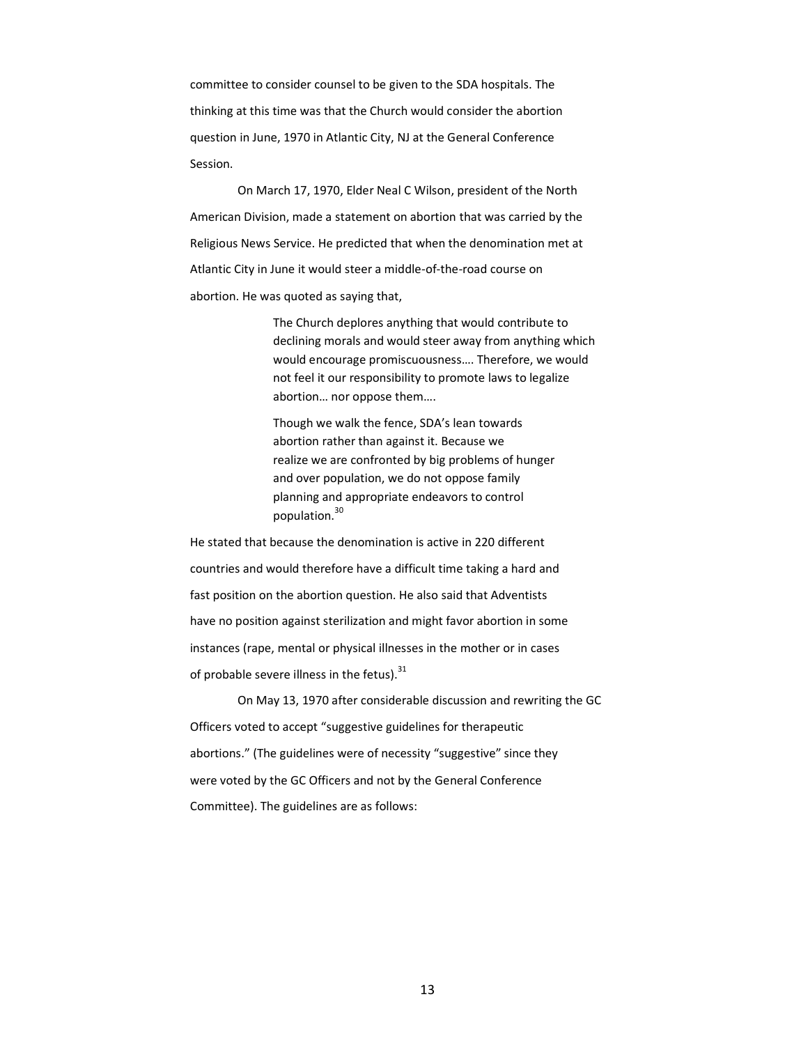committee to consider counsel to be given to the SDA hospitals. The thinking at this time was that the Church would consider the abortion question in June, 1970 in Atlantic City, NJ at the General Conference Session.

On March 17, 1970, Elder Neal C Wilson, president of the North American Division, made a statement on abortion that was carried by the Religious News Service. He predicted that when the denomination met at Atlantic City in June it would steer a middle-of-the-road course on abortion. He was quoted as saying that,

> The Church deplores anything that would contribute to declining morals and would steer away from anything which would encourage promiscuousness…. Therefore, we would not feel it our responsibility to promote laws to legalize abortion… nor oppose them….

Though we walk the fence, SDA's lean towards abortion rather than against it. Because we realize we are confronted by big problems of hunger and over population, we do not oppose family planning and appropriate endeavors to control population.<sup>30</sup>

He stated that because the denomination is active in 220 different countries and would therefore have a difficult time taking a hard and fast position on the abortion question. He also said that Adventists have no position against sterilization and might favor abortion in some instances (rape, mental or physical illnesses in the mother or in cases of probable severe illness in the fetus). $31$ 

On May 13, 1970 after considerable discussion and rewriting the GC Officers voted to accept "suggestive guidelines for therapeutic abortions." (The guidelines were of necessity "suggestive" since they were voted by the GC Officers and not by the General Conference Committee). The guidelines are as follows: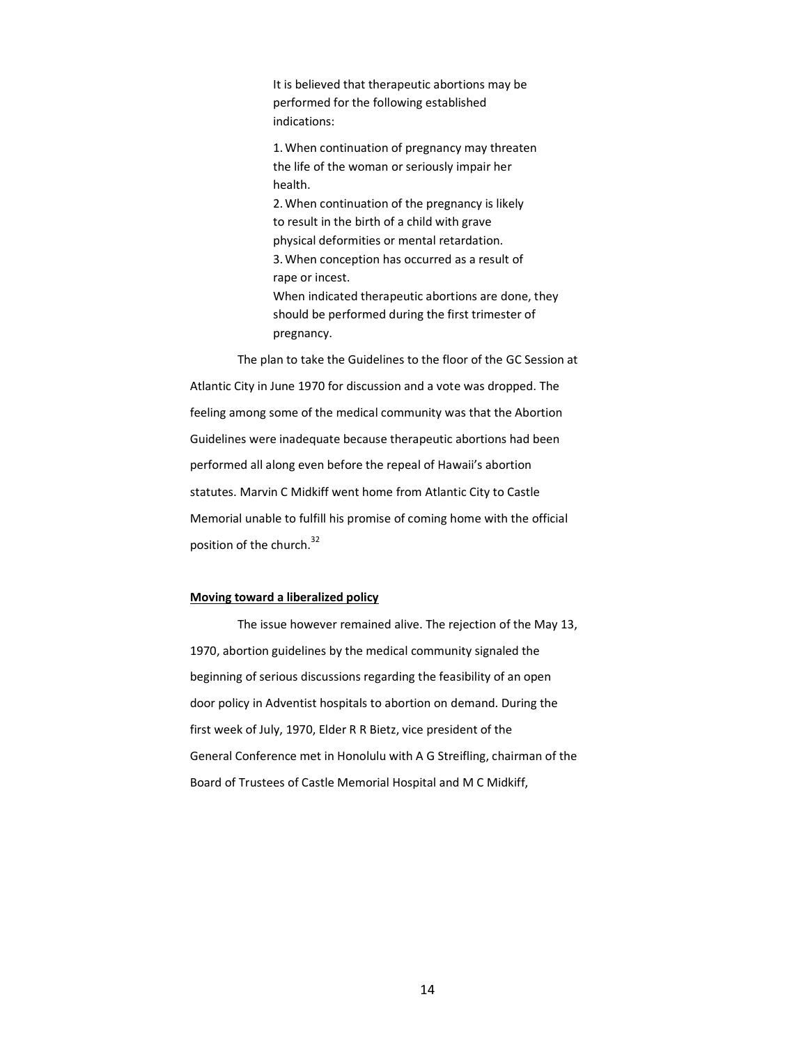It is believed that therapeutic abortions may be performed for the following established indications:

1.When continuation of pregnancy may threaten the life of the woman or seriously impair her health.

2.When continuation of the pregnancy is likely to result in the birth of a child with grave physical deformities or mental retardation. 3.When conception has occurred as a result of rape or incest.

When indicated therapeutic abortions are done, they should be performed during the first trimester of pregnancy.

The plan to take the Guidelines to the floor of the GC Session at Atlantic City in June 1970 for discussion and a vote was dropped. The feeling among some of the medical community was that the Abortion Guidelines were inadequate because therapeutic abortions had been performed all along even before the repeal of Hawaii's abortion statutes. Marvin C Midkiff went home from Atlantic City to Castle Memorial unable to fulfill his promise of coming home with the official position of the church.<sup>32</sup>

#### **Moving toward a liberalized policy**

The issue however remained alive. The rejection of the May 13, 1970, abortion guidelines by the medical community signaled the beginning of serious discussions regarding the feasibility of an open door policy in Adventist hospitals to abortion on demand. During the first week of July, 1970, Elder R R Bietz, vice president of the General Conference met in Honolulu with A G Streifling, chairman of the Board of Trustees of Castle Memorial Hospital and M C Midkiff,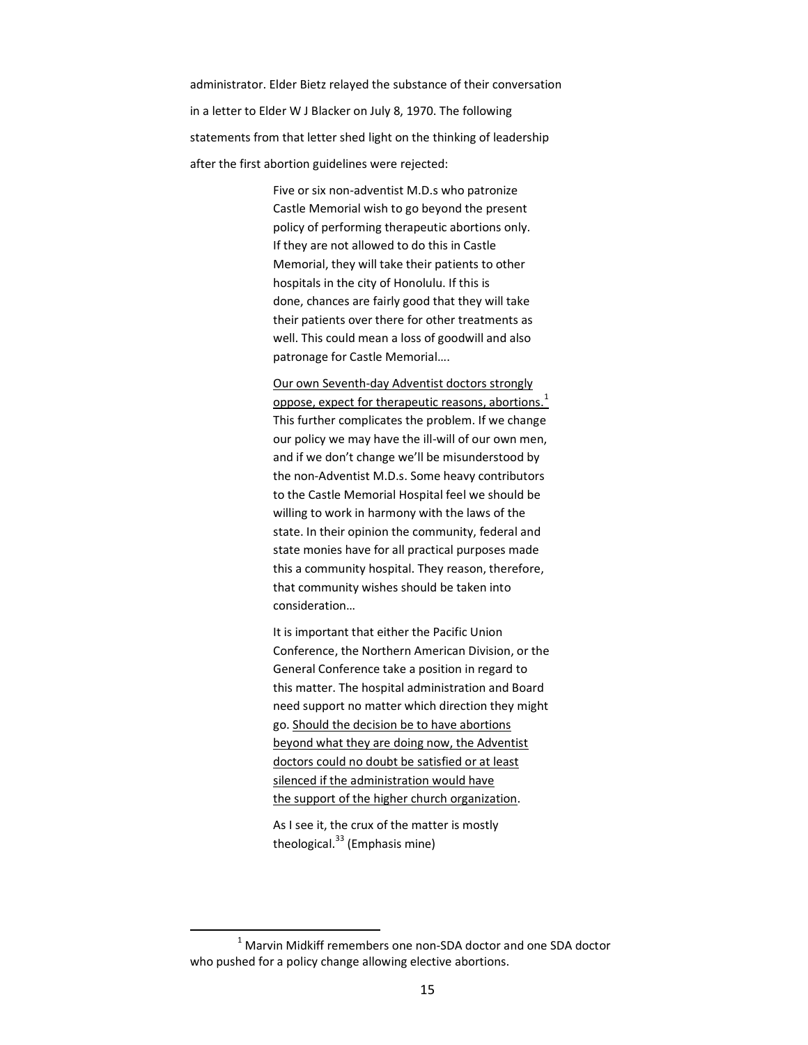administrator. Elder Bietz relayed the substance of their conversation in a letter to Elder W J Blacker on July 8, 1970. The following statements from that letter shed light on the thinking of leadership after the first abortion guidelines were rejected:

> Five or six non-adventist M.D.s who patronize Castle Memorial wish to go beyond the present policy of performing therapeutic abortions only. If they are not allowed to do this in Castle Memorial, they will take their patients to other hospitals in the city of Honolulu. If this is done, chances are fairly good that they will take their patients over there for other treatments as well. This could mean a loss of goodwill and also patronage for Castle Memorial….

Our own Seventh-day Adventist doctors strongly oppose, expect for therapeutic reasons, abortions. $<sup>1</sup>$ </sup> This further complicates the problem. If we change our policy we may have the ill-will of our own men, and if we don't change we'll be misunderstood by the non-Adventist M.D.s. Some heavy contributors to the Castle Memorial Hospital feel we should be willing to work in harmony with the laws of the state. In their opinion the community, federal and state monies have for all practical purposes made this a community hospital. They reason, therefore, that community wishes should be taken into consideration…

It is important that either the Pacific Union Conference, the Northern American Division, or the General Conference take a position in regard to this matter. The hospital administration and Board need support no matter which direction they might go. Should the decision be to have abortions beyond what they are doing now, the Adventist doctors could no doubt be satisfied or at least silenced if the administration would have the support of the higher church organization.

As I see it, the crux of the matter is mostly theological. $33$  (Emphasis mine)

l

 $1$  Marvin Midkiff remembers one non-SDA doctor and one SDA doctor who pushed for a policy change allowing elective abortions.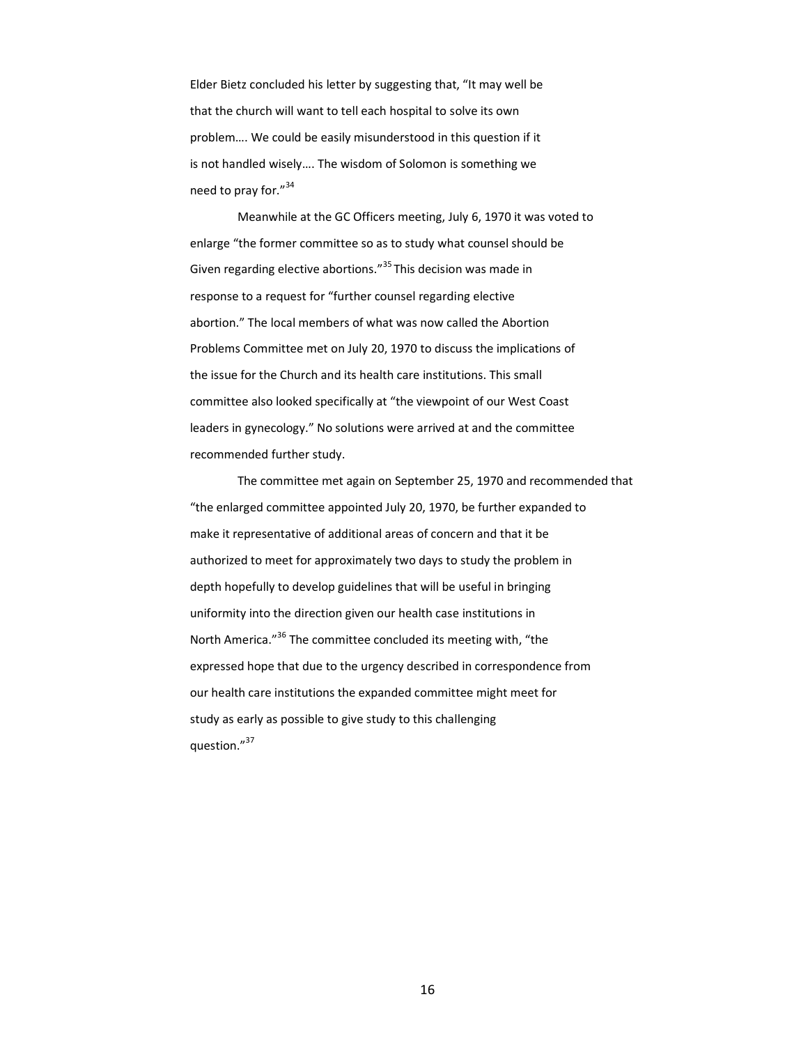Elder Bietz concluded his letter by suggesting that, "It may well be that the church will want to tell each hospital to solve its own problem…. We could be easily misunderstood in this question if it is not handled wisely…. The wisdom of Solomon is something we need to pray for."<sup>34</sup>

Meanwhile at the GC Officers meeting, July 6, 1970 it was voted to enlarge "the former committee so as to study what counsel should be Given regarding elective abortions."<sup>35</sup> This decision was made in response to a request for "further counsel regarding elective abortion." The local members of what was now called the Abortion Problems Committee met on July 20, 1970 to discuss the implications of the issue for the Church and its health care institutions. This small committee also looked specifically at "the viewpoint of our West Coast leaders in gynecology." No solutions were arrived at and the committee recommended further study.

The committee met again on September 25, 1970 and recommended that "the enlarged committee appointed July 20, 1970, be further expanded to make it representative of additional areas of concern and that it be authorized to meet for approximately two days to study the problem in depth hopefully to develop guidelines that will be useful in bringing uniformity into the direction given our health case institutions in North America."<sup>36</sup> The committee concluded its meeting with, "the expressed hope that due to the urgency described in correspondence from our health care institutions the expanded committee might meet for study as early as possible to give study to this challenging question."<sup>37</sup>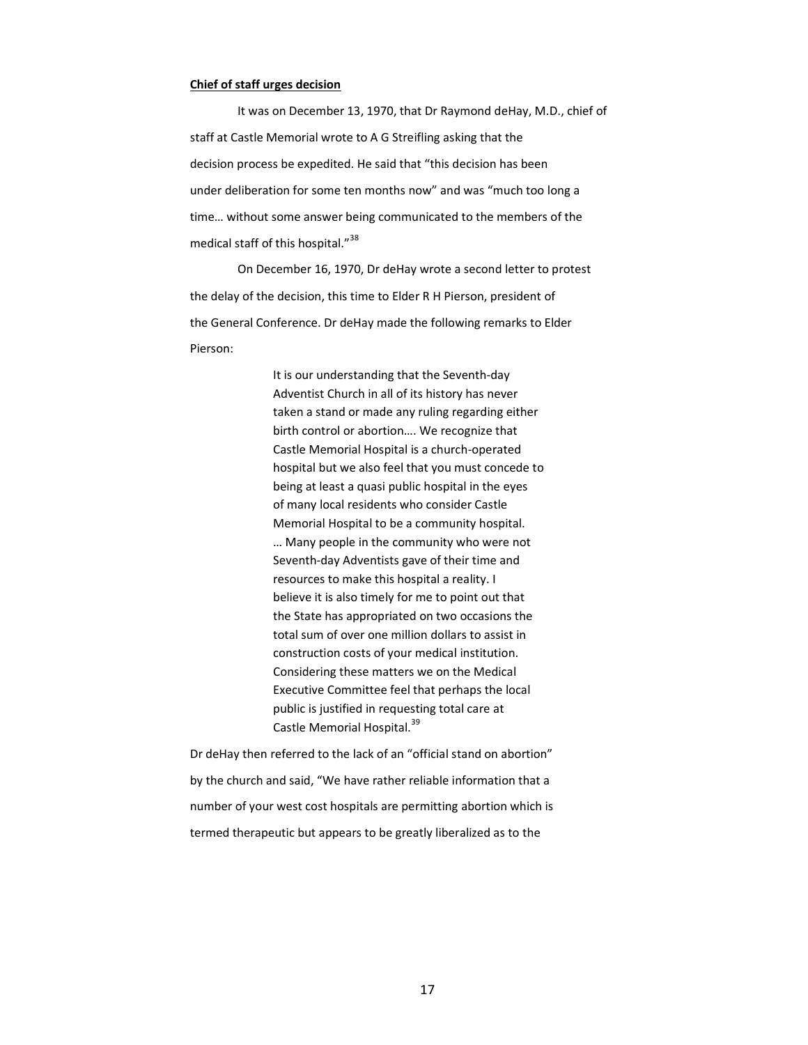#### **Chief of staff urges decision**

It was on December 13, 1970, that Dr Raymond deHay, M.D., chief of staff at Castle Memorial wrote to A G Streifling asking that the decision process be expedited. He said that "this decision has been under deliberation for some ten months now" and was "much too long a time… without some answer being communicated to the members of the medical staff of this hospital."<sup>38</sup>

On December 16, 1970, Dr deHay wrote a second letter to protest the delay of the decision, this time to Elder R H Pierson, president of the General Conference. Dr deHay made the following remarks to Elder Pierson:

> It is our understanding that the Seventh-day Adventist Church in all of its history has never taken a stand or made any ruling regarding either birth control or abortion…. We recognize that Castle Memorial Hospital is a church-operated hospital but we also feel that you must concede to being at least a quasi public hospital in the eyes of many local residents who consider Castle Memorial Hospital to be a community hospital. … Many people in the community who were not Seventh-day Adventists gave of their time and resources to make this hospital a reality. I believe it is also timely for me to point out that the State has appropriated on two occasions the total sum of over one million dollars to assist in construction costs of your medical institution. Considering these matters we on the Medical Executive Committee feel that perhaps the local public is justified in requesting total care at Castle Memorial Hospital.<sup>39</sup>

Dr deHay then referred to the lack of an "official stand on abortion" by the church and said, "We have rather reliable information that a number of your west cost hospitals are permitting abortion which is termed therapeutic but appears to be greatly liberalized as to the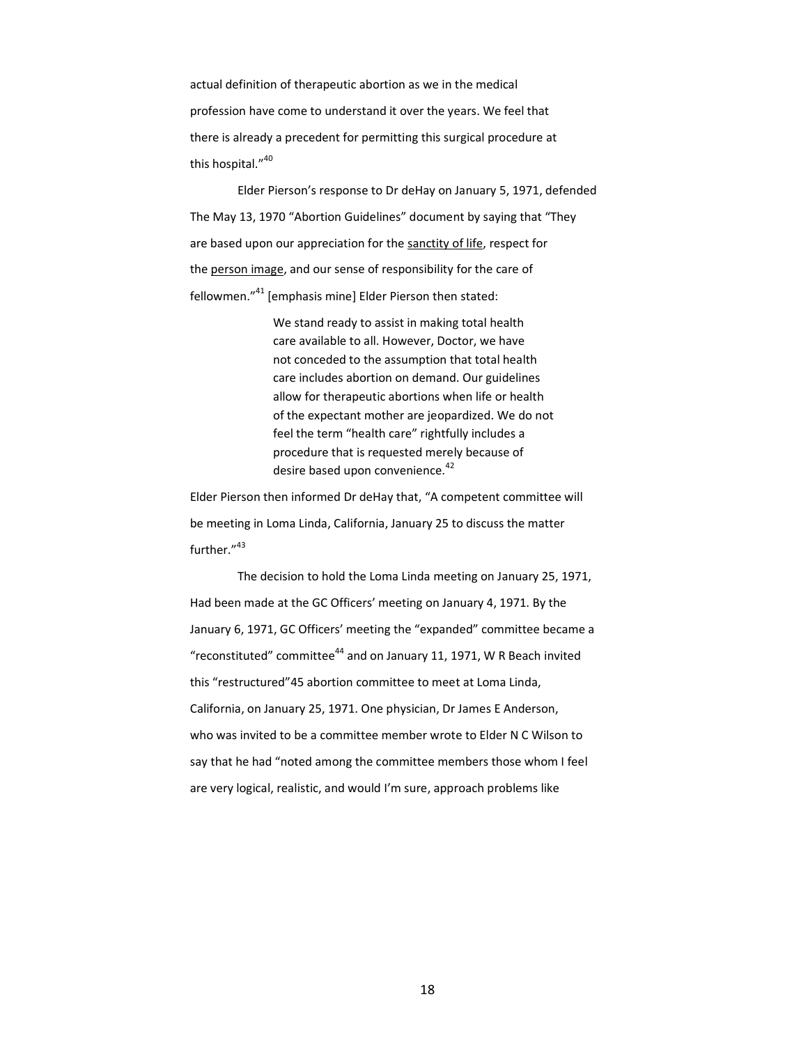actual definition of therapeutic abortion as we in the medical profession have come to understand it over the years. We feel that there is already a precedent for permitting this surgical procedure at this hospital."<sup>40</sup>

Elder Pierson's response to Dr deHay on January 5, 1971, defended The May 13, 1970 "Abortion Guidelines" document by saying that "They are based upon our appreciation for the sanctity of life, respect for the person image, and our sense of responsibility for the care of fellowmen."<sup>41</sup> [emphasis mine] Elder Pierson then stated:

> We stand ready to assist in making total health care available to all. However, Doctor, we have not conceded to the assumption that total health care includes abortion on demand. Our guidelines allow for therapeutic abortions when life or health of the expectant mother are jeopardized. We do not feel the term "health care" rightfully includes a procedure that is requested merely because of desire based upon convenience.<sup>42</sup>

Elder Pierson then informed Dr deHay that, "A competent committee will be meeting in Loma Linda, California, January 25 to discuss the matter further."43

The decision to hold the Loma Linda meeting on January 25, 1971, Had been made at the GC Officers' meeting on January 4, 1971. By the January 6, 1971, GC Officers' meeting the "expanded" committee became a "reconstituted" committee<sup>44</sup> and on January 11, 1971, W R Beach invited this "restructured"45 abortion committee to meet at Loma Linda, California, on January 25, 1971. One physician, Dr James E Anderson, who was invited to be a committee member wrote to Elder N C Wilson to say that he had "noted among the committee members those whom I feel are very logical, realistic, and would I'm sure, approach problems like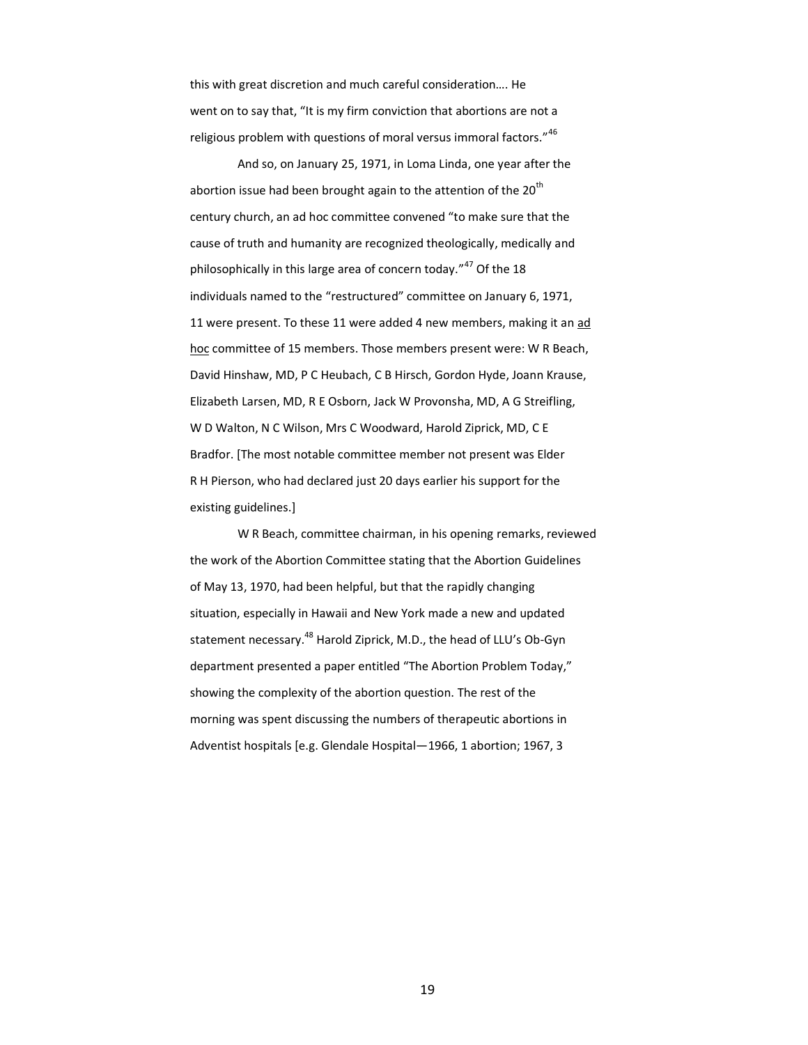this with great discretion and much careful consideration…. He went on to say that, "It is my firm conviction that abortions are not a religious problem with questions of moral versus immoral factors."<sup>46</sup>

And so, on January 25, 1971, in Loma Linda, one year after the abortion issue had been brought again to the attention of the  $20<sup>th</sup>$ century church, an ad hoc committee convened "to make sure that the cause of truth and humanity are recognized theologically, medically and philosophically in this large area of concern today."<sup>47</sup> Of the 18 individuals named to the "restructured" committee on January 6, 1971, 11 were present. To these 11 were added 4 new members, making it an ad hoc committee of 15 members. Those members present were: W R Beach, David Hinshaw, MD, P C Heubach, C B Hirsch, Gordon Hyde, Joann Krause, Elizabeth Larsen, MD, R E Osborn, Jack W Provonsha, MD, A G Streifling, W D Walton, N C Wilson, Mrs C Woodward, Harold Ziprick, MD, C E Bradfor. [The most notable committee member not present was Elder R H Pierson, who had declared just 20 days earlier his support for the existing guidelines.]

W R Beach, committee chairman, in his opening remarks, reviewed the work of the Abortion Committee stating that the Abortion Guidelines of May 13, 1970, had been helpful, but that the rapidly changing situation, especially in Hawaii and New York made a new and updated statement necessary.<sup>48</sup> Harold Ziprick, M.D., the head of LLU's Ob-Gyn department presented a paper entitled "The Abortion Problem Today," showing the complexity of the abortion question. The rest of the morning was spent discussing the numbers of therapeutic abortions in Adventist hospitals [e.g. Glendale Hospital—1966, 1 abortion; 1967, 3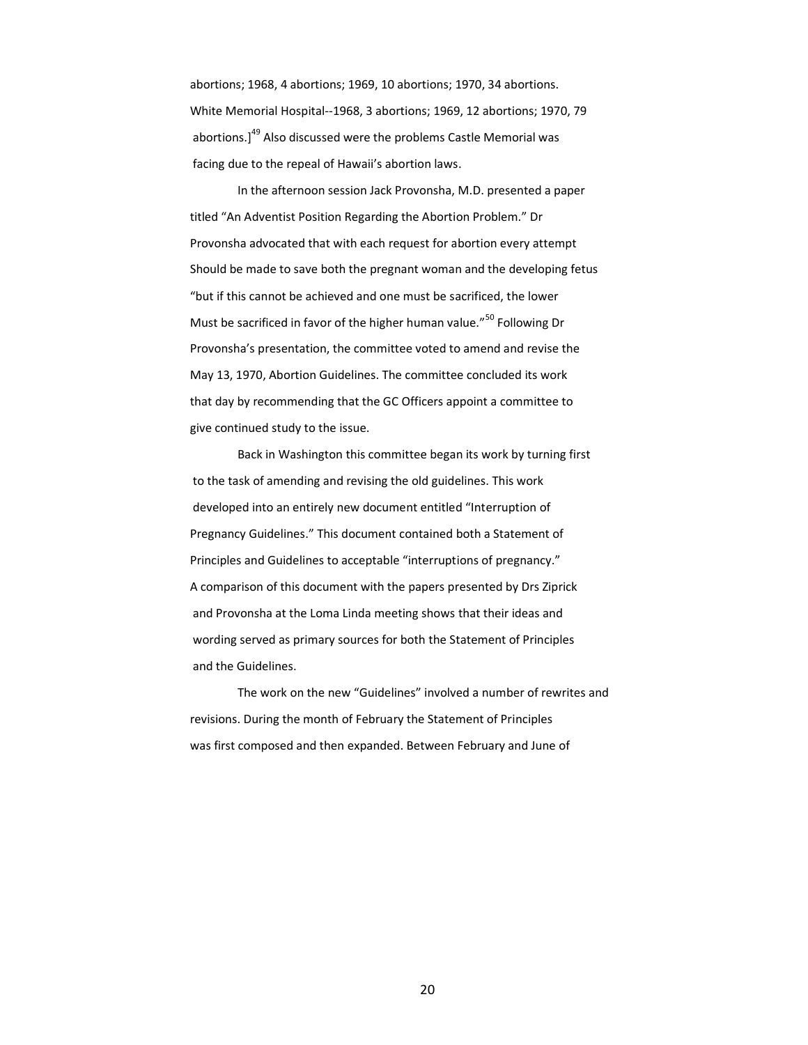abortions; 1968, 4 abortions; 1969, 10 abortions; 1970, 34 abortions. White Memorial Hospital--1968, 3 abortions; 1969, 12 abortions; 1970, 79 abortions.]<sup>49</sup> Also discussed were the problems Castle Memorial was facing due to the repeal of Hawaii's abortion laws.

In the afternoon session Jack Provonsha, M.D. presented a paper titled "An Adventist Position Regarding the Abortion Problem." Dr Provonsha advocated that with each request for abortion every attempt Should be made to save both the pregnant woman and the developing fetus "but if this cannot be achieved and one must be sacrificed, the lower Must be sacrificed in favor of the higher human value."<sup>50</sup> Following Dr Provonsha's presentation, the committee voted to amend and revise the May 13, 1970, Abortion Guidelines. The committee concluded its work that day by recommending that the GC Officers appoint a committee to give continued study to the issue.

Back in Washington this committee began its work by turning first to the task of amending and revising the old guidelines. This work developed into an entirely new document entitled "Interruption of Pregnancy Guidelines." This document contained both a Statement of Principles and Guidelines to acceptable "interruptions of pregnancy." A comparison of this document with the papers presented by Drs Ziprick and Provonsha at the Loma Linda meeting shows that their ideas and wording served as primary sources for both the Statement of Principles and the Guidelines.

The work on the new "Guidelines" involved a number of rewrites and revisions. During the month of February the Statement of Principles was first composed and then expanded. Between February and June of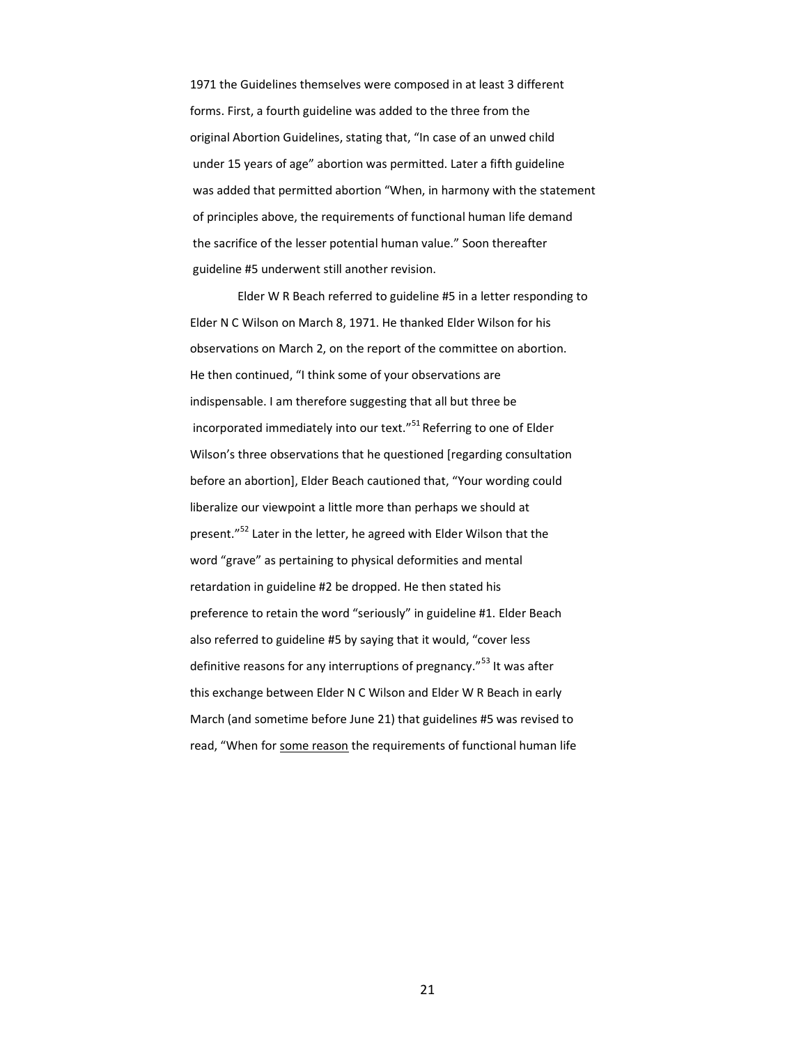1971 the Guidelines themselves were composed in at least 3 different forms. First, a fourth guideline was added to the three from the original Abortion Guidelines, stating that, "In case of an unwed child under 15 years of age" abortion was permitted. Later a fifth guideline was added that permitted abortion "When, in harmony with the statement of principles above, the requirements of functional human life demand the sacrifice of the lesser potential human value." Soon thereafter guideline #5 underwent still another revision.

Elder W R Beach referred to guideline #5 in a letter responding to Elder N C Wilson on March 8, 1971. He thanked Elder Wilson for his observations on March 2, on the report of the committee on abortion. He then continued, "I think some of your observations are indispensable. I am therefore suggesting that all but three be incorporated immediately into our text." $51$  Referring to one of Elder Wilson's three observations that he questioned [regarding consultation before an abortion], Elder Beach cautioned that, "Your wording could liberalize our viewpoint a little more than perhaps we should at present."<sup>52</sup> Later in the letter, he agreed with Elder Wilson that the word "grave" as pertaining to physical deformities and mental retardation in guideline #2 be dropped. He then stated his preference to retain the word "seriously" in guideline #1. Elder Beach also referred to guideline #5 by saying that it would, "cover less definitive reasons for any interruptions of pregnancy."<sup>53</sup> It was after this exchange between Elder N C Wilson and Elder W R Beach in early March (and sometime before June 21) that guidelines #5 was revised to read, "When for some reason the requirements of functional human life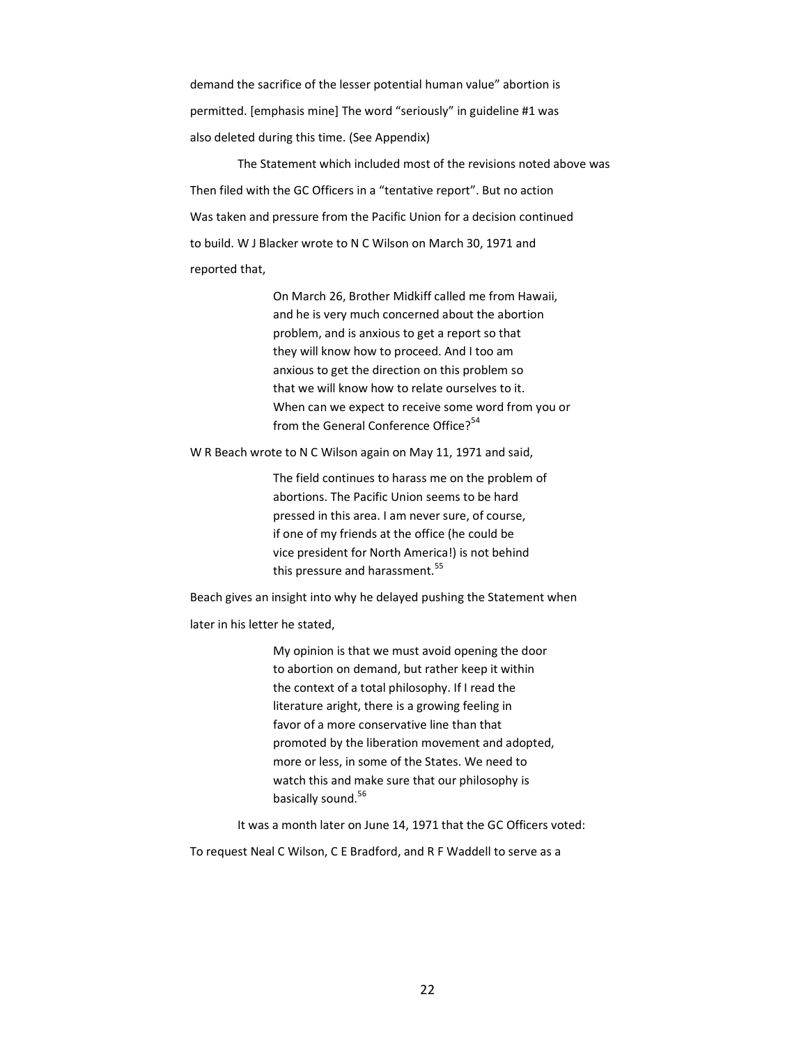demand the sacrifice of the lesser potential human value" abortion is permitted. [emphasis mine] The word "seriously" in guideline #1 was also deleted during this time. (See Appendix)

The Statement which included most of the revisions noted above was Then filed with the GC Officers in a "tentative report". But no action Was taken and pressure from the Pacific Union for a decision continued to build. W J Blacker wrote to N C Wilson on March 30, 1971 and reported that,

> On March 26, Brother Midkiff called me from Hawaii, and he is very much concerned about the abortion problem, and is anxious to get a report so that they will know how to proceed. And I too am anxious to get the direction on this problem so that we will know how to relate ourselves to it. When can we expect to receive some word from you or from the General Conference Office?<sup>54</sup>

W R Beach wrote to N C Wilson again on May 11, 1971 and said,

The field continues to harass me on the problem of abortions. The Pacific Union seems to be hard pressed in this area. I am never sure, of course, if one of my friends at the office (he could be vice president for North America!) is not behind this pressure and harassment.<sup>55</sup>

Beach gives an insight into why he delayed pushing the Statement when later in his letter he stated,

> My opinion is that we must avoid opening the door to abortion on demand, but rather keep it within the context of a total philosophy. If I read the literature aright, there is a growing feeling in favor of a more conservative line than that promoted by the liberation movement and adopted, more or less, in some of the States. We need to watch this and make sure that our philosophy is basically sound.<sup>56</sup>

It was a month later on June 14, 1971 that the GC Officers voted:

To request Neal C Wilson, C E Bradford, and R F Waddell to serve as a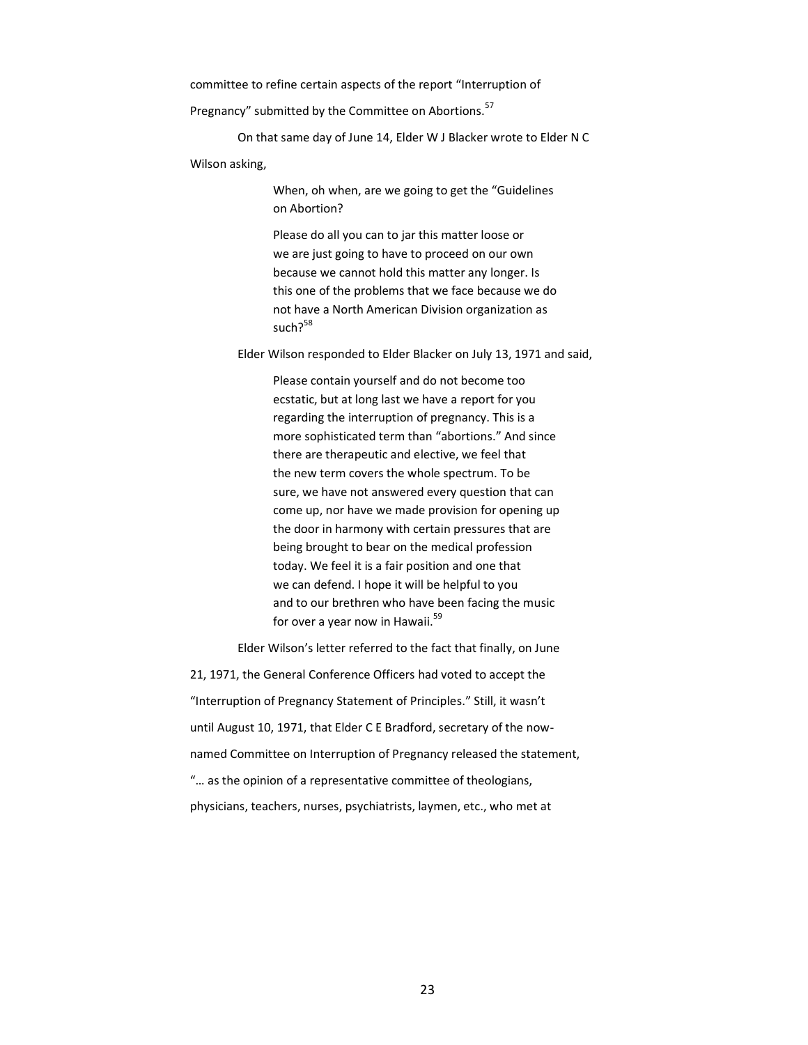committee to refine certain aspects of the report "Interruption of

Pregnancy" submitted by the Committee on Abortions.<sup>57</sup>

On that same day of June 14, Elder W J Blacker wrote to Elder N C

#### Wilson asking,

When, oh when, are we going to get the "Guidelines on Abortion?

Please do all you can to jar this matter loose or we are just going to have to proceed on our own because we cannot hold this matter any longer. Is this one of the problems that we face because we do not have a North American Division organization as such?<sup>58</sup>

Elder Wilson responded to Elder Blacker on July 13, 1971 and said,

Please contain yourself and do not become too ecstatic, but at long last we have a report for you regarding the interruption of pregnancy. This is a more sophisticated term than "abortions." And since there are therapeutic and elective, we feel that the new term covers the whole spectrum. To be sure, we have not answered every question that can come up, nor have we made provision for opening up the door in harmony with certain pressures that are being brought to bear on the medical profession today. We feel it is a fair position and one that we can defend. I hope it will be helpful to you and to our brethren who have been facing the music for over a year now in Hawaii.<sup>59</sup>

Elder Wilson's letter referred to the fact that finally, on June 21, 1971, the General Conference Officers had voted to accept the "Interruption of Pregnancy Statement of Principles." Still, it wasn't until August 10, 1971, that Elder C E Bradford, secretary of the nownamed Committee on Interruption of Pregnancy released the statement, "… as the opinion of a representative committee of theologians, physicians, teachers, nurses, psychiatrists, laymen, etc., who met at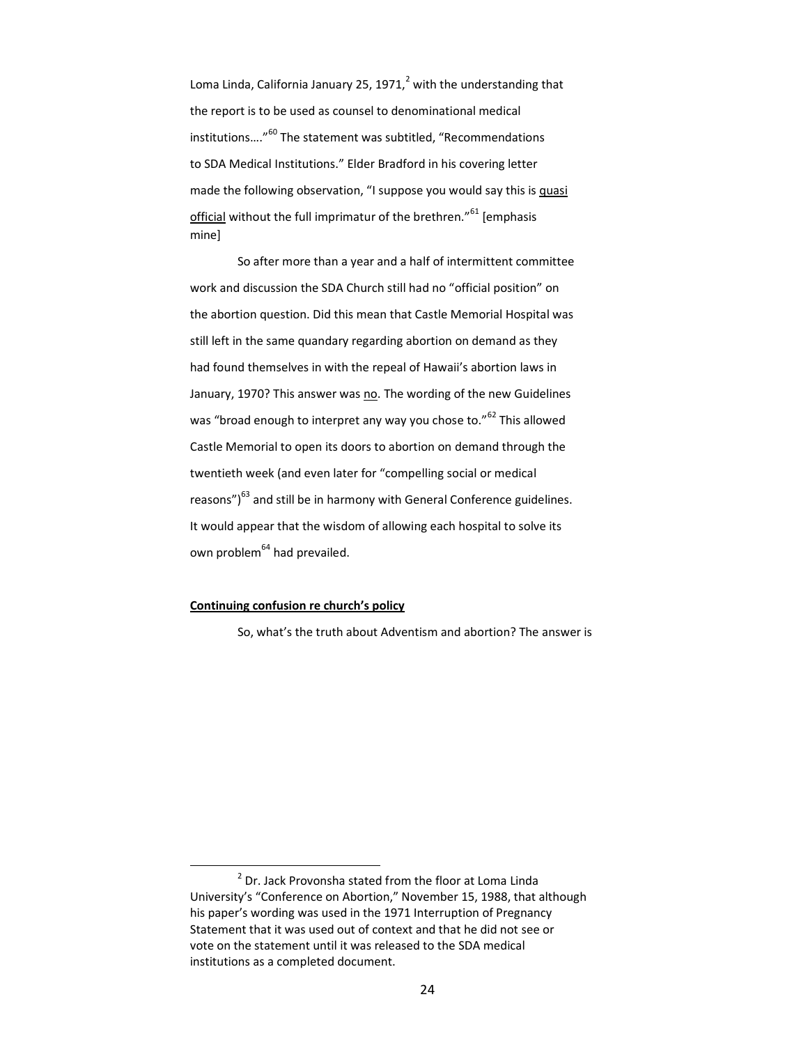Loma Linda, California January 25, 1971, $^2$  with the understanding that the report is to be used as counsel to denominational medical institutions…."<sup>60</sup> The statement was subtitled, "Recommendations to SDA Medical Institutions." Elder Bradford in his covering letter made the following observation, "I suppose you would say this is quasi official without the full imprimatur of the brethren."<sup>61</sup> [emphasis mine]

So after more than a year and a half of intermittent committee work and discussion the SDA Church still had no "official position" on the abortion question. Did this mean that Castle Memorial Hospital was still left in the same quandary regarding abortion on demand as they had found themselves in with the repeal of Hawaii's abortion laws in January, 1970? This answer was no. The wording of the new Guidelines was "broad enough to interpret any way you chose to."<sup>62</sup> This allowed Castle Memorial to open its doors to abortion on demand through the twentieth week (and even later for "compelling social or medical reasons")<sup>63</sup> and still be in harmony with General Conference guidelines. It would appear that the wisdom of allowing each hospital to solve its own problem<sup>64</sup> had prevailed.

## **Continuing confusion re church's policy**

 $\overline{a}$ 

So, what's the truth about Adventism and abortion? The answer is

 $2$  Dr. Jack Provonsha stated from the floor at Loma Linda University's "Conference on Abortion," November 15, 1988, that although his paper's wording was used in the 1971 Interruption of Pregnancy Statement that it was used out of context and that he did not see or vote on the statement until it was released to the SDA medical institutions as a completed document.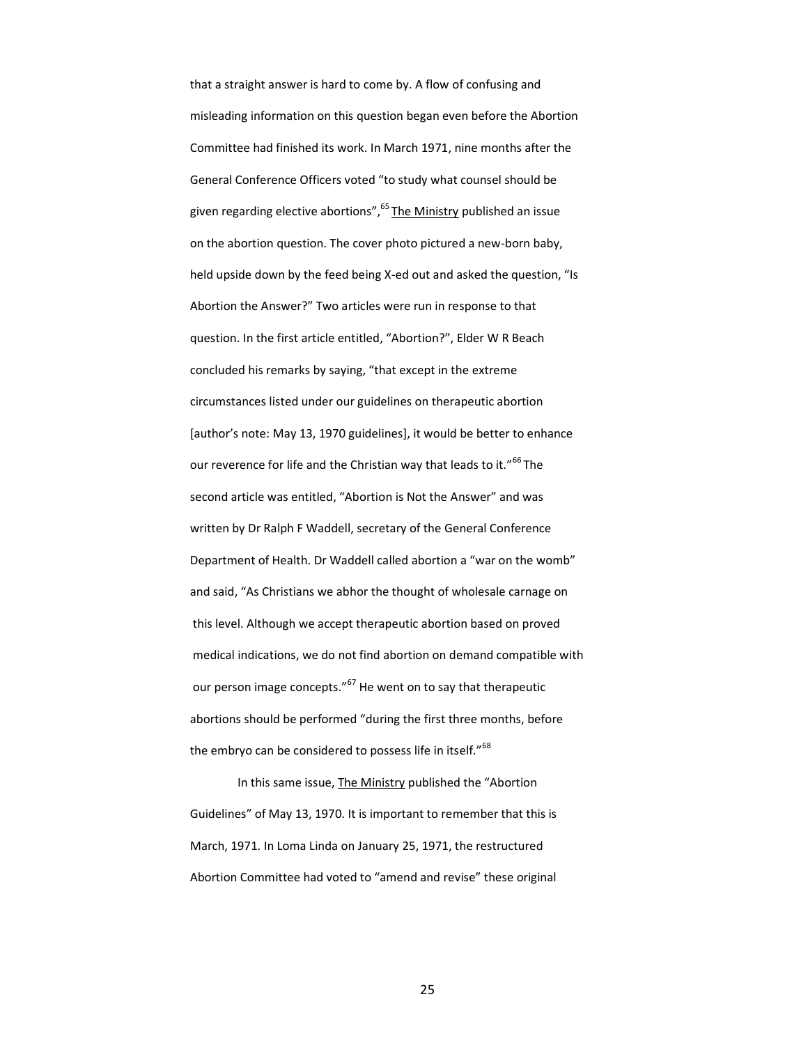that a straight answer is hard to come by. A flow of confusing and misleading information on this question began even before the Abortion Committee had finished its work. In March 1971, nine months after the General Conference Officers voted "to study what counsel should be given regarding elective abortions", <sup>65</sup> The Ministry published an issue on the abortion question. The cover photo pictured a new-born baby, held upside down by the feed being X-ed out and asked the question, "Is Abortion the Answer?" Two articles were run in response to that question. In the first article entitled, "Abortion?", Elder W R Beach concluded his remarks by saying, "that except in the extreme circumstances listed under our guidelines on therapeutic abortion [author's note: May 13, 1970 guidelines], it would be better to enhance our reverence for life and the Christian way that leads to it."<sup>66</sup> The second article was entitled, "Abortion is Not the Answer" and was written by Dr Ralph F Waddell, secretary of the General Conference Department of Health. Dr Waddell called abortion a "war on the womb" and said, "As Christians we abhor the thought of wholesale carnage on this level. Although we accept therapeutic abortion based on proved medical indications, we do not find abortion on demand compatible with our person image concepts."<sup>67</sup> He went on to say that therapeutic abortions should be performed "during the first three months, before the embryo can be considered to possess life in itself."<sup>68</sup>

In this same issue, The Ministry published the "Abortion Guidelines" of May 13, 1970. It is important to remember that this is March, 1971. In Loma Linda on January 25, 1971, the restructured Abortion Committee had voted to "amend and revise" these original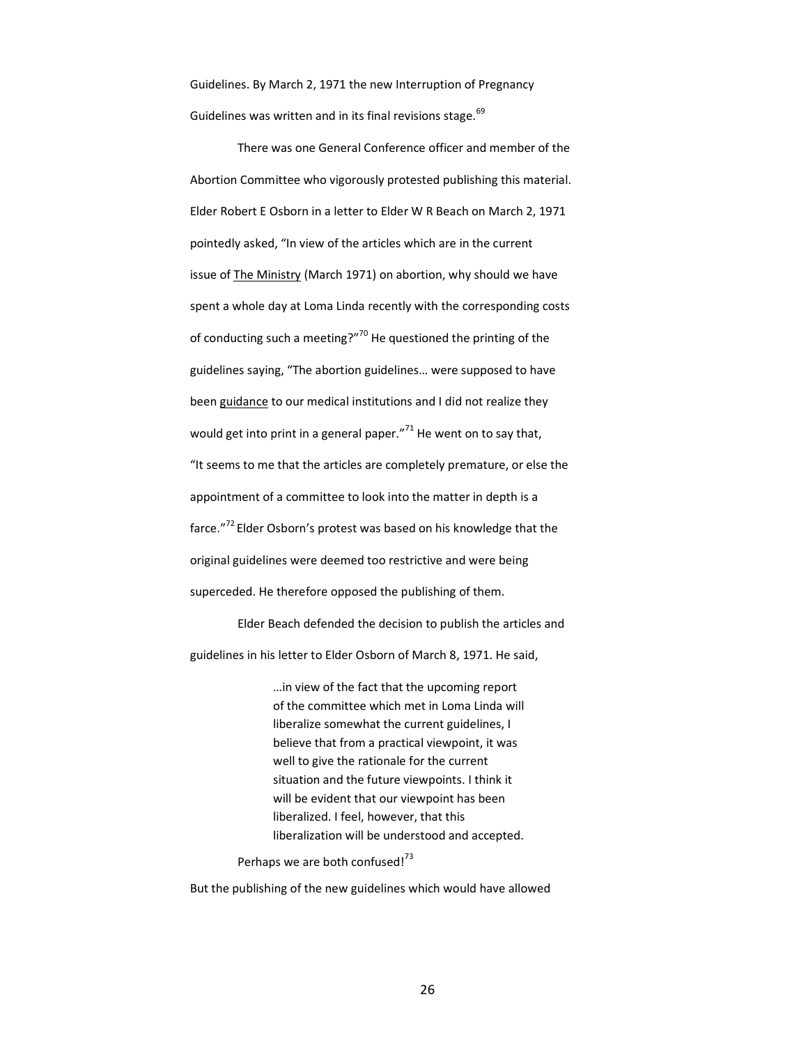Guidelines. By March 2, 1971 the new Interruption of Pregnancy Guidelines was written and in its final revisions stage.<sup>69</sup>

There was one General Conference officer and member of the Abortion Committee who vigorously protested publishing this material. Elder Robert E Osborn in a letter to Elder W R Beach on March 2, 1971 pointedly asked, "In view of the articles which are in the current issue of The Ministry (March 1971) on abortion, why should we have spent a whole day at Loma Linda recently with the corresponding costs of conducting such a meeting?"<sup>70</sup> He questioned the printing of the guidelines saying, "The abortion guidelines… were supposed to have been guidance to our medical institutions and I did not realize they would get into print in a general paper. $171$  He went on to say that, "It seems to me that the articles are completely premature, or else the appointment of a committee to look into the matter in depth is a farce."<sup>72</sup> Elder Osborn's protest was based on his knowledge that the original guidelines were deemed too restrictive and were being superceded. He therefore opposed the publishing of them.

Elder Beach defended the decision to publish the articles and guidelines in his letter to Elder Osborn of March 8, 1971. He said,

> …in view of the fact that the upcoming report of the committee which met in Loma Linda will liberalize somewhat the current guidelines, I believe that from a practical viewpoint, it was well to give the rationale for the current situation and the future viewpoints. I think it will be evident that our viewpoint has been liberalized. I feel, however, that this liberalization will be understood and accepted.

Perhaps we are both confused!<sup>73</sup>

But the publishing of the new guidelines which would have allowed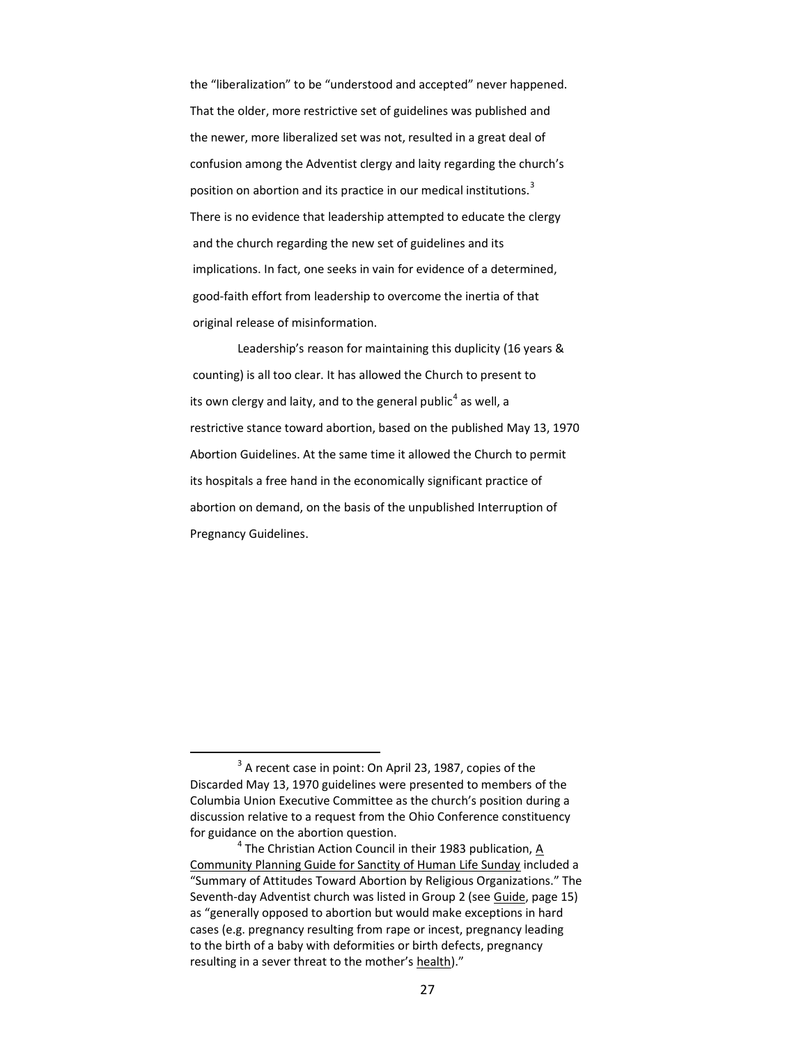the "liberalization" to be "understood and accepted" never happened. That the older, more restrictive set of guidelines was published and the newer, more liberalized set was not, resulted in a great deal of confusion among the Adventist clergy and laity regarding the church's position on abortion and its practice in our medical institutions.<sup>3</sup> There is no evidence that leadership attempted to educate the clergy and the church regarding the new set of guidelines and its implications. In fact, one seeks in vain for evidence of a determined, good-faith effort from leadership to overcome the inertia of that original release of misinformation.

Leadership's reason for maintaining this duplicity (16 years & counting) is all too clear. It has allowed the Church to present to its own clergy and laity, and to the general public<sup>4</sup> as well, a restrictive stance toward abortion, based on the published May 13, 1970 Abortion Guidelines. At the same time it allowed the Church to permit its hospitals a free hand in the economically significant practice of abortion on demand, on the basis of the unpublished Interruption of Pregnancy Guidelines.

 $\overline{a}$ 

 $3$  A recent case in point: On April 23, 1987, copies of the Discarded May 13, 1970 guidelines were presented to members of the Columbia Union Executive Committee as the church's position during a discussion relative to a request from the Ohio Conference constituency for guidance on the abortion question.

 $^4$  The Christian Action Council in their 1983 publication,  $\underline{A}$ Community Planning Guide for Sanctity of Human Life Sunday included a "Summary of Attitudes Toward Abortion by Religious Organizations." The Seventh-day Adventist church was listed in Group 2 (see Guide, page 15) as "generally opposed to abortion but would make exceptions in hard cases (e.g. pregnancy resulting from rape or incest, pregnancy leading to the birth of a baby with deformities or birth defects, pregnancy resulting in a sever threat to the mother's health)."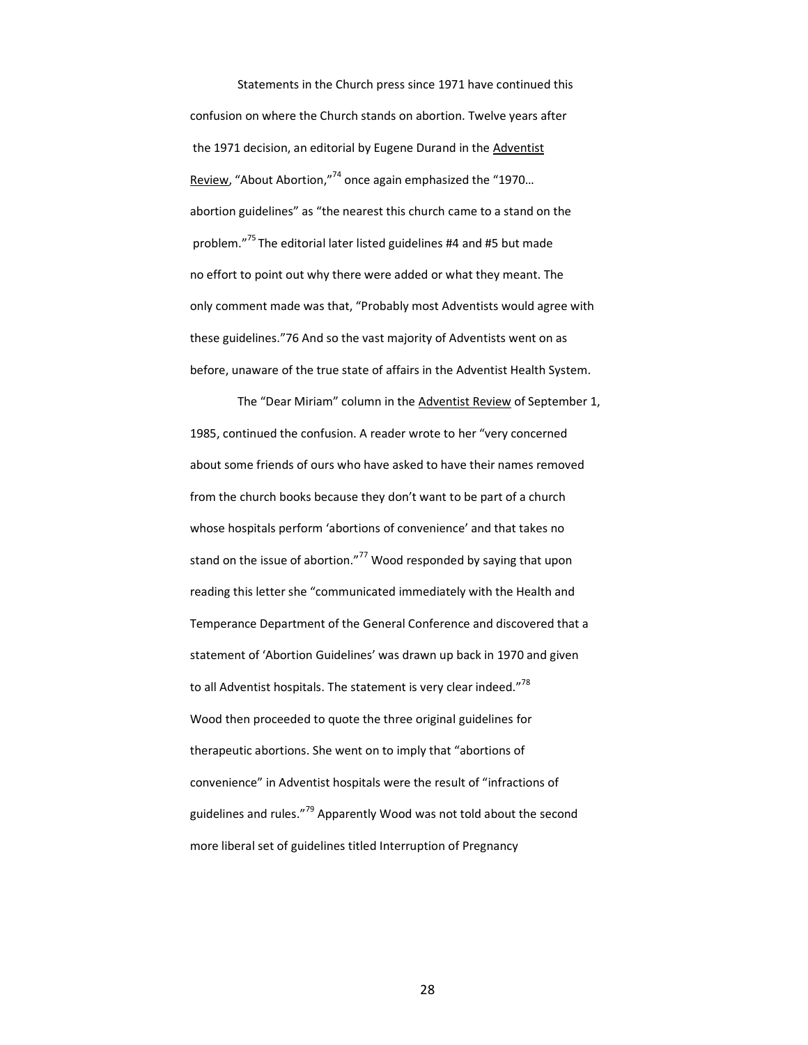Statements in the Church press since 1971 have continued this confusion on where the Church stands on abortion. Twelve years after the 1971 decision, an editorial by Eugene Durand in the Adventist Review, "About Abortion,"<sup>74</sup> once again emphasized the "1970… abortion guidelines" as "the nearest this church came to a stand on the problem."<sup>75</sup> The editorial later listed guidelines #4 and #5 but made no effort to point out why there were added or what they meant. The only comment made was that, "Probably most Adventists would agree with these guidelines."76 And so the vast majority of Adventists went on as before, unaware of the true state of affairs in the Adventist Health System.

The "Dear Miriam" column in the Adventist Review of September 1, 1985, continued the confusion. A reader wrote to her "very concerned about some friends of ours who have asked to have their names removed from the church books because they don't want to be part of a church whose hospitals perform 'abortions of convenience' and that takes no stand on the issue of abortion."<sup>77</sup> Wood responded by saying that upon reading this letter she "communicated immediately with the Health and Temperance Department of the General Conference and discovered that a statement of 'Abortion Guidelines' was drawn up back in 1970 and given to all Adventist hospitals. The statement is very clear indeed."<sup>78</sup> Wood then proceeded to quote the three original guidelines for therapeutic abortions. She went on to imply that "abortions of convenience" in Adventist hospitals were the result of "infractions of guidelines and rules."<sup>79</sup> Apparently Wood was not told about the second more liberal set of guidelines titled Interruption of Pregnancy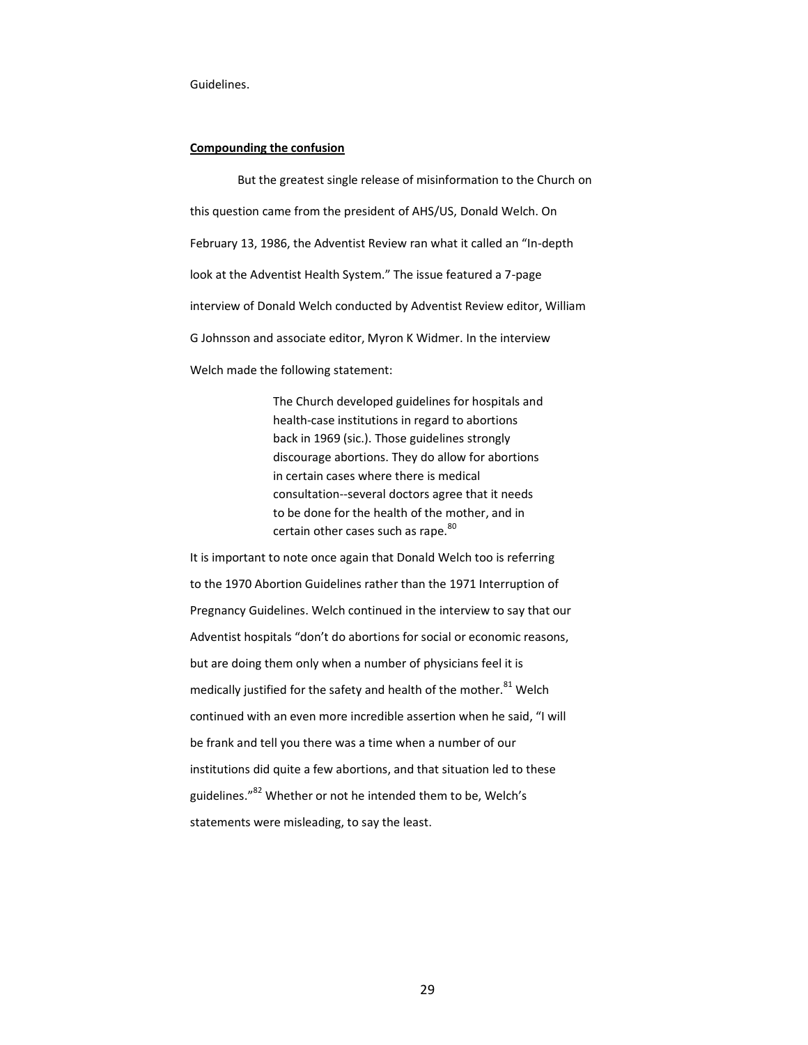#### Guidelines.

## **Compounding the confusion**

But the greatest single release of misinformation to the Church on this question came from the president of AHS/US, Donald Welch. On February 13, 1986, the Adventist Review ran what it called an "In-depth look at the Adventist Health System." The issue featured a 7-page interview of Donald Welch conducted by Adventist Review editor, William G Johnsson and associate editor, Myron K Widmer. In the interview Welch made the following statement:

> The Church developed guidelines for hospitals and health-case institutions in regard to abortions back in 1969 (sic.). Those guidelines strongly discourage abortions. They do allow for abortions in certain cases where there is medical consultation--several doctors agree that it needs to be done for the health of the mother, and in certain other cases such as rape.<sup>80</sup>

It is important to note once again that Donald Welch too is referring to the 1970 Abortion Guidelines rather than the 1971 Interruption of Pregnancy Guidelines. Welch continued in the interview to say that our Adventist hospitals "don't do abortions for social or economic reasons, but are doing them only when a number of physicians feel it is medically justified for the safety and health of the mother.<sup>81</sup> Welch continued with an even more incredible assertion when he said, "I will be frank and tell you there was a time when a number of our institutions did quite a few abortions, and that situation led to these guidelines."<sup>82</sup> Whether or not he intended them to be, Welch's statements were misleading, to say the least.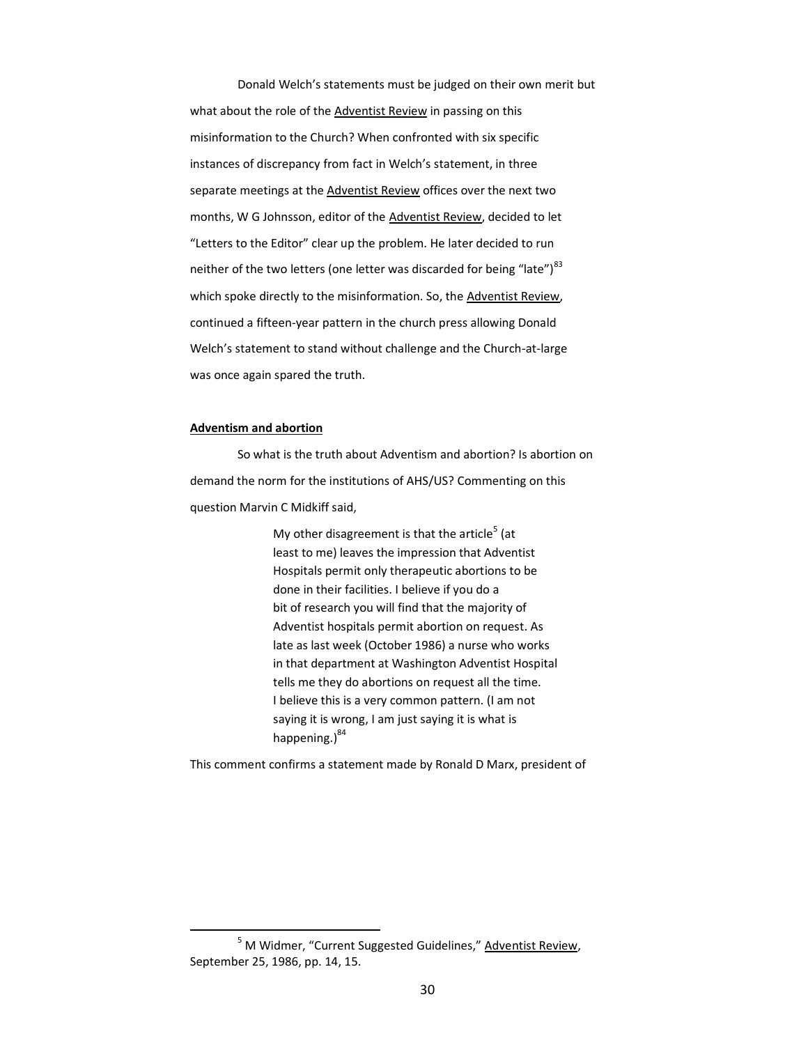Donald Welch's statements must be judged on their own merit but what about the role of the Adventist Review in passing on this misinformation to the Church? When confronted with six specific instances of discrepancy from fact in Welch's statement, in three separate meetings at the Adventist Review offices over the next two months, W G Johnsson, editor of the Adventist Review, decided to let "Letters to the Editor" clear up the problem. He later decided to run neither of the two letters (one letter was discarded for being "late") $^{83}$ which spoke directly to the misinformation. So, the Adventist Review, continued a fifteen-year pattern in the church press allowing Donald Welch's statement to stand without challenge and the Church-at-large was once again spared the truth.

## **Adventism and abortion**

l

So what is the truth about Adventism and abortion? Is abortion on demand the norm for the institutions of AHS/US? Commenting on this question Marvin C Midkiff said,

> My other disagreement is that the article<sup>5</sup> (at least to me) leaves the impression that Adventist Hospitals permit only therapeutic abortions to be done in their facilities. I believe if you do a bit of research you will find that the majority of Adventist hospitals permit abortion on request. As late as last week (October 1986) a nurse who works in that department at Washington Adventist Hospital tells me they do abortions on request all the time. I believe this is a very common pattern. (I am not saying it is wrong, I am just saying it is what is happening. $)^{84}$

This comment confirms a statement made by Ronald D Marx, president of

<sup>&</sup>lt;sup>5</sup> M Widmer, "Current Suggested Guidelines," Adventist Review, September 25, 1986, pp. 14, 15.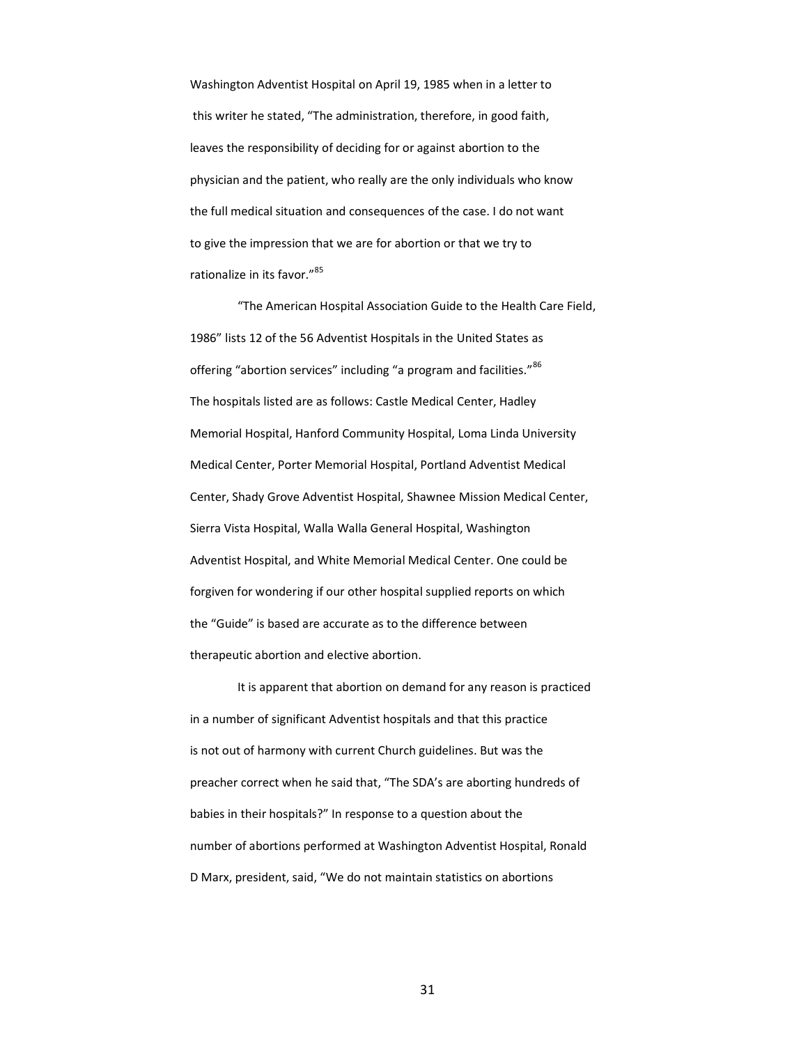Washington Adventist Hospital on April 19, 1985 when in a letter to this writer he stated, "The administration, therefore, in good faith, leaves the responsibility of deciding for or against abortion to the physician and the patient, who really are the only individuals who know the full medical situation and consequences of the case. I do not want to give the impression that we are for abortion or that we try to rationalize in its favor."<sup>85</sup>

"The American Hospital Association Guide to the Health Care Field, 1986" lists 12 of the 56 Adventist Hospitals in the United States as offering "abortion services" including "a program and facilities."<sup>86</sup> The hospitals listed are as follows: Castle Medical Center, Hadley Memorial Hospital, Hanford Community Hospital, Loma Linda University Medical Center, Porter Memorial Hospital, Portland Adventist Medical Center, Shady Grove Adventist Hospital, Shawnee Mission Medical Center, Sierra Vista Hospital, Walla Walla General Hospital, Washington Adventist Hospital, and White Memorial Medical Center. One could be forgiven for wondering if our other hospital supplied reports on which the "Guide" is based are accurate as to the difference between therapeutic abortion and elective abortion.

It is apparent that abortion on demand for any reason is practiced in a number of significant Adventist hospitals and that this practice is not out of harmony with current Church guidelines. But was the preacher correct when he said that, "The SDA's are aborting hundreds of babies in their hospitals?" In response to a question about the number of abortions performed at Washington Adventist Hospital, Ronald D Marx, president, said, "We do not maintain statistics on abortions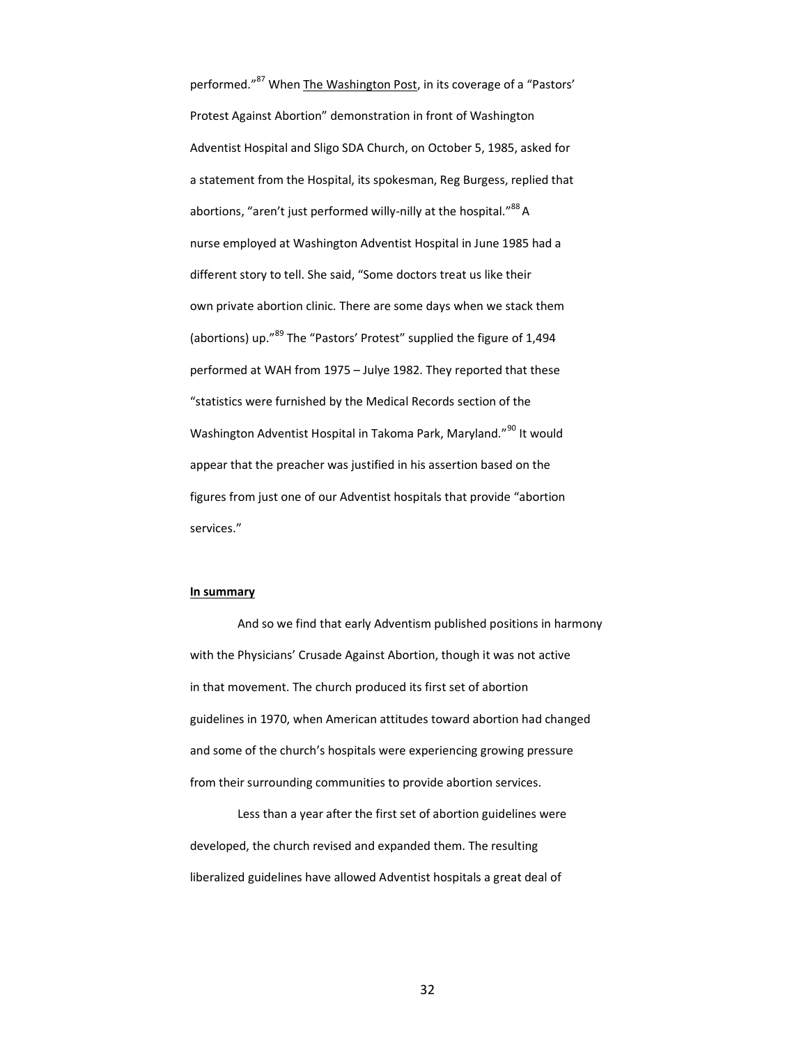performed."<sup>87</sup> When The Washington Post, in its coverage of a "Pastors' Protest Against Abortion" demonstration in front of Washington Adventist Hospital and Sligo SDA Church, on October 5, 1985, asked for a statement from the Hospital, its spokesman, Reg Burgess, replied that abortions, "aren't just performed willy-nilly at the hospital."<sup>88</sup> A nurse employed at Washington Adventist Hospital in June 1985 had a different story to tell. She said, "Some doctors treat us like their own private abortion clinic. There are some days when we stack them (abortions) up."<sup>89</sup> The "Pastors' Protest" supplied the figure of 1,494 performed at WAH from 1975 – Julye 1982. They reported that these "statistics were furnished by the Medical Records section of the Washington Adventist Hospital in Takoma Park, Maryland."<sup>90</sup> It would appear that the preacher was justified in his assertion based on the figures from just one of our Adventist hospitals that provide "abortion services."

## **In summary**

And so we find that early Adventism published positions in harmony with the Physicians' Crusade Against Abortion, though it was not active in that movement. The church produced its first set of abortion guidelines in 1970, when American attitudes toward abortion had changed and some of the church's hospitals were experiencing growing pressure from their surrounding communities to provide abortion services.

Less than a year after the first set of abortion guidelines were developed, the church revised and expanded them. The resulting liberalized guidelines have allowed Adventist hospitals a great deal of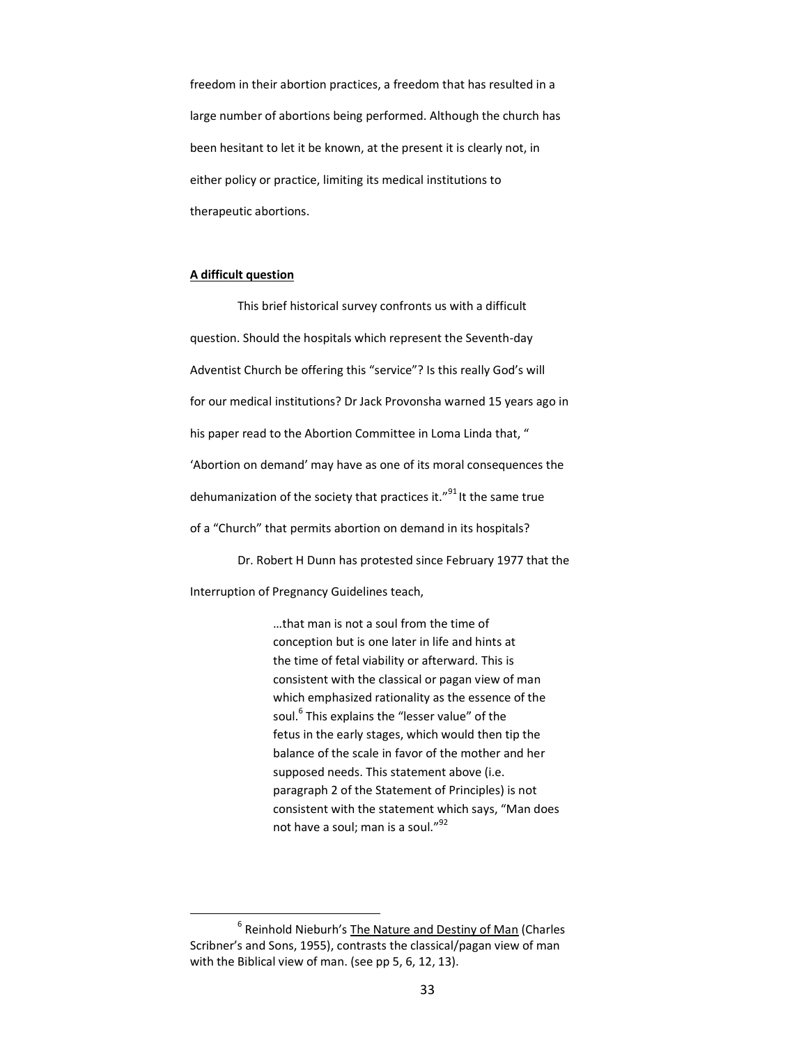freedom in their abortion practices, a freedom that has resulted in a large number of abortions being performed. Although the church has been hesitant to let it be known, at the present it is clearly not, in either policy or practice, limiting its medical institutions to therapeutic abortions.

## **A difficult question**

 $\overline{a}$ 

This brief historical survey confronts us with a difficult question. Should the hospitals which represent the Seventh-day Adventist Church be offering this "service"? Is this really God's will for our medical institutions? Dr Jack Provonsha warned 15 years ago in his paper read to the Abortion Committee in Loma Linda that, " 'Abortion on demand' may have as one of its moral consequences the dehumanization of the society that practices it."<sup>91</sup> It the same true of a "Church" that permits abortion on demand in its hospitals?

Dr. Robert H Dunn has protested since February 1977 that the Interruption of Pregnancy Guidelines teach,

> …that man is not a soul from the time of conception but is one later in life and hints at the time of fetal viability or afterward. This is consistent with the classical or pagan view of man which emphasized rationality as the essence of the soul.<sup>6</sup> This explains the "lesser value" of the fetus in the early stages, which would then tip the balance of the scale in favor of the mother and her supposed needs. This statement above (i.e. paragraph 2 of the Statement of Principles) is not consistent with the statement which says, "Man does not have a soul; man is a soul."<sup>92</sup>

<sup>&</sup>lt;sup>6</sup> Reinhold Nieburh's The Nature and Destiny of Man (Charles Scribner's and Sons, 1955), contrasts the classical/pagan view of man with the Biblical view of man. (see pp 5, 6, 12, 13).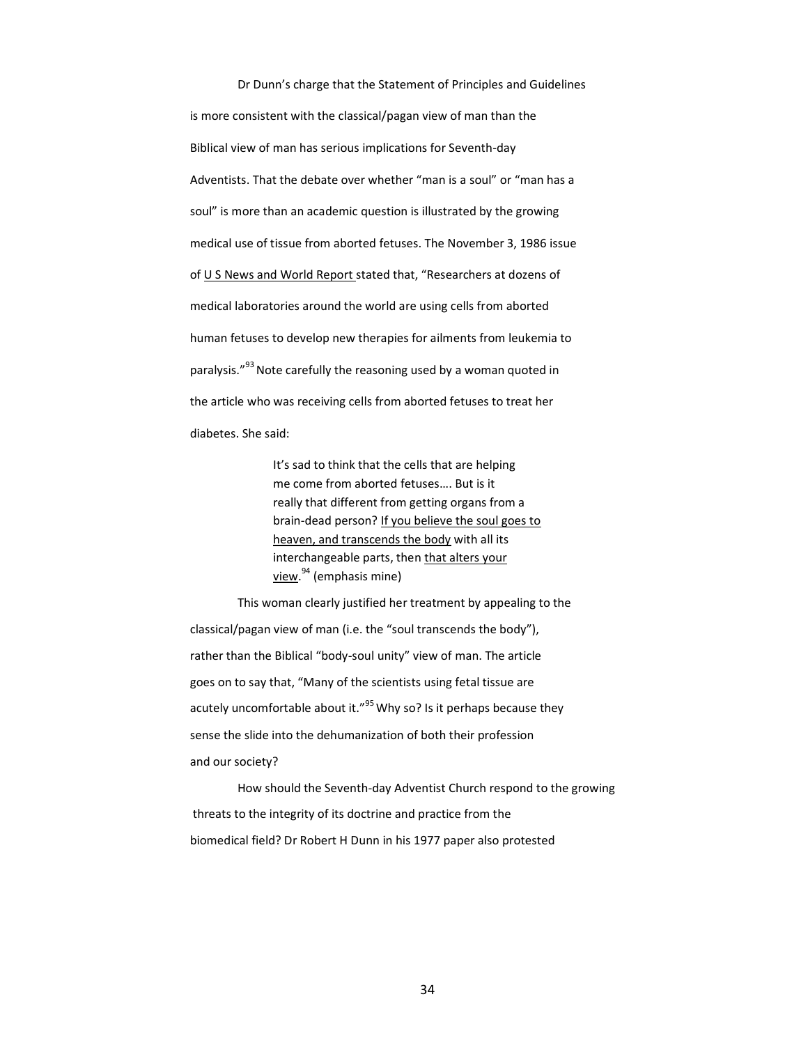Dr Dunn's charge that the Statement of Principles and Guidelines is more consistent with the classical/pagan view of man than the Biblical view of man has serious implications for Seventh-day Adventists. That the debate over whether "man is a soul" or "man has a soul" is more than an academic question is illustrated by the growing medical use of tissue from aborted fetuses. The November 3, 1986 issue of U S News and World Report stated that, "Researchers at dozens of medical laboratories around the world are using cells from aborted human fetuses to develop new therapies for ailments from leukemia to paralysis."<sup>93</sup> Note carefully the reasoning used by a woman quoted in the article who was receiving cells from aborted fetuses to treat her diabetes. She said:

> It's sad to think that the cells that are helping me come from aborted fetuses…. But is it really that different from getting organs from a brain-dead person? If you believe the soul goes to heaven, and transcends the body with all its interchangeable parts, then that alters your <u>view.<sup>94</sup> (</u>emphasis mine)

This woman clearly justified her treatment by appealing to the classical/pagan view of man (i.e. the "soul transcends the body"), rather than the Biblical "body-soul unity" view of man. The article goes on to say that, "Many of the scientists using fetal tissue are acutely uncomfortable about it." $^{95}$  Why so? Is it perhaps because they sense the slide into the dehumanization of both their profession and our society?

How should the Seventh-day Adventist Church respond to the growing threats to the integrity of its doctrine and practice from the biomedical field? Dr Robert H Dunn in his 1977 paper also protested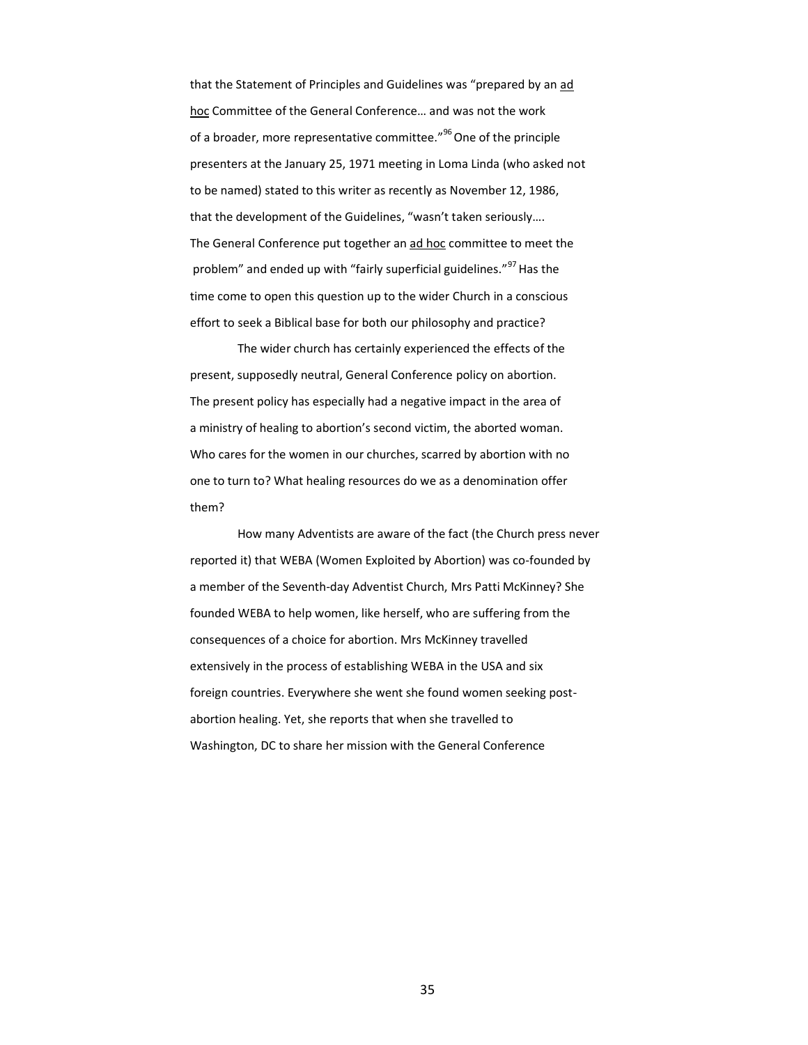that the Statement of Principles and Guidelines was "prepared by an ad hoc Committee of the General Conference… and was not the work of a broader, more representative committee."<sup>96</sup> One of the principle presenters at the January 25, 1971 meeting in Loma Linda (who asked not to be named) stated to this writer as recently as November 12, 1986, that the development of the Guidelines, "wasn't taken seriously…. The General Conference put together an ad hoc committee to meet the problem" and ended up with "fairly superficial guidelines."<sup>97</sup> Has the time come to open this question up to the wider Church in a conscious effort to seek a Biblical base for both our philosophy and practice?

The wider church has certainly experienced the effects of the present, supposedly neutral, General Conference policy on abortion. The present policy has especially had a negative impact in the area of a ministry of healing to abortion's second victim, the aborted woman. Who cares for the women in our churches, scarred by abortion with no one to turn to? What healing resources do we as a denomination offer them?

How many Adventists are aware of the fact (the Church press never reported it) that WEBA (Women Exploited by Abortion) was co-founded by a member of the Seventh-day Adventist Church, Mrs Patti McKinney? She founded WEBA to help women, like herself, who are suffering from the consequences of a choice for abortion. Mrs McKinney travelled extensively in the process of establishing WEBA in the USA and six foreign countries. Everywhere she went she found women seeking postabortion healing. Yet, she reports that when she travelled to Washington, DC to share her mission with the General Conference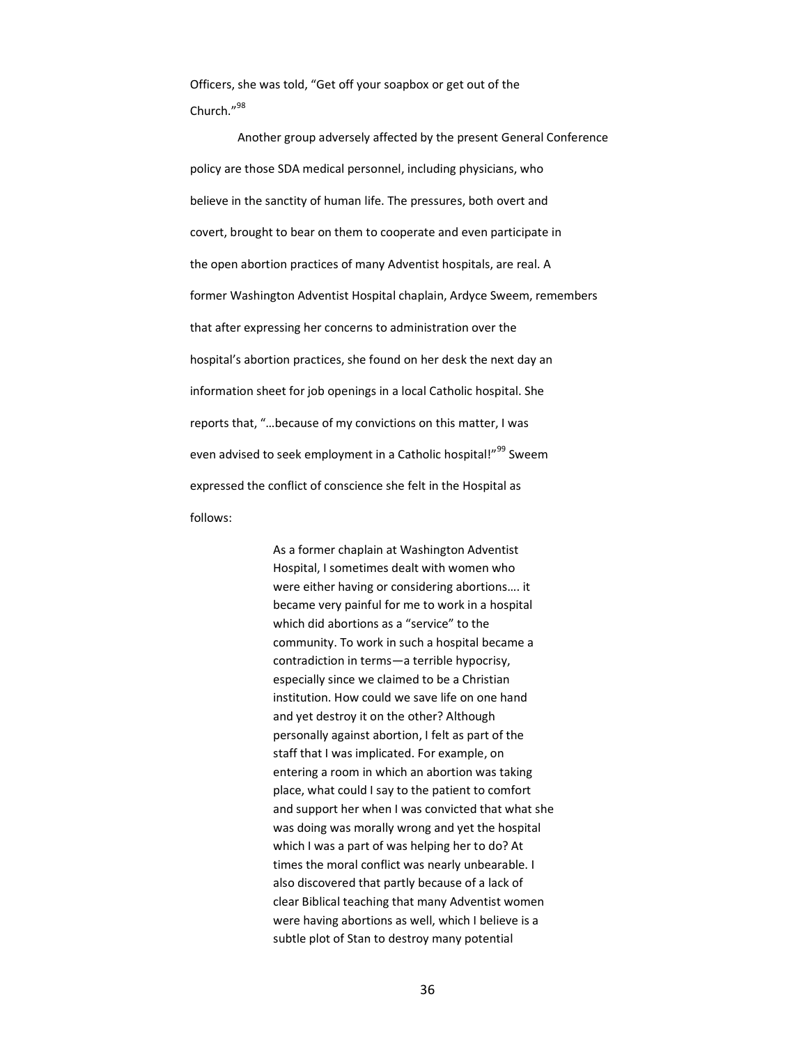Officers, she was told, "Get off your soapbox or get out of the Church<sup>"98</sup>

Another group adversely affected by the present General Conference policy are those SDA medical personnel, including physicians, who believe in the sanctity of human life. The pressures, both overt and covert, brought to bear on them to cooperate and even participate in the open abortion practices of many Adventist hospitals, are real. A former Washington Adventist Hospital chaplain, Ardyce Sweem, remembers that after expressing her concerns to administration over the hospital's abortion practices, she found on her desk the next day an information sheet for job openings in a local Catholic hospital. She reports that, "…because of my convictions on this matter, I was even advised to seek employment in a Catholic hospital!"<sup>99</sup> Sweem expressed the conflict of conscience she felt in the Hospital as follows:

> As a former chaplain at Washington Adventist Hospital, I sometimes dealt with women who were either having or considering abortions…. it became very painful for me to work in a hospital which did abortions as a "service" to the community. To work in such a hospital became a contradiction in terms—a terrible hypocrisy, especially since we claimed to be a Christian institution. How could we save life on one hand and yet destroy it on the other? Although personally against abortion, I felt as part of the staff that I was implicated. For example, on entering a room in which an abortion was taking place, what could I say to the patient to comfort and support her when I was convicted that what she was doing was morally wrong and yet the hospital which I was a part of was helping her to do? At times the moral conflict was nearly unbearable. I also discovered that partly because of a lack of clear Biblical teaching that many Adventist women were having abortions as well, which I believe is a subtle plot of Stan to destroy many potential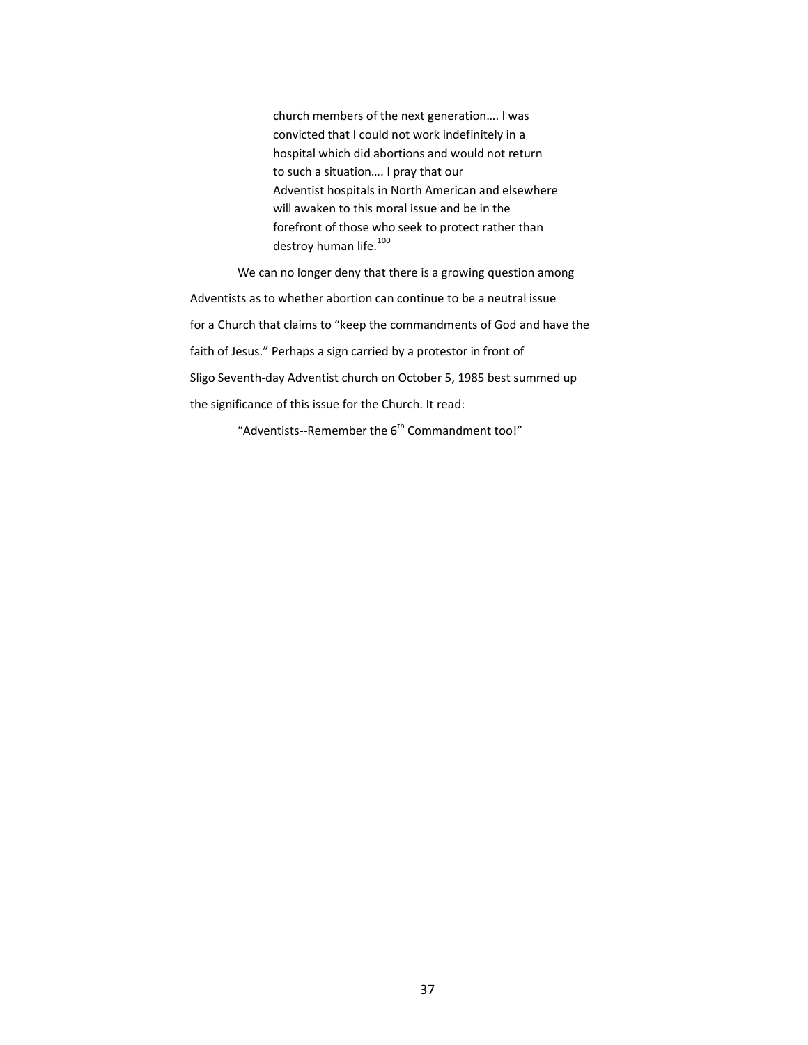church members of the next generation…. I was convicted that I could not work indefinitely in a hospital which did abortions and would not return to such a situation…. I pray that our Adventist hospitals in North American and elsewhere will awaken to this moral issue and be in the forefront of those who seek to protect rather than destroy human life. $100$ 

We can no longer deny that there is a growing question among Adventists as to whether abortion can continue to be a neutral issue for a Church that claims to "keep the commandments of God and have the faith of Jesus." Perhaps a sign carried by a protestor in front of Sligo Seventh-day Adventist church on October 5, 1985 best summed up the significance of this issue for the Church. It read:

"Adventists--Remember the  $6<sup>th</sup>$  Commandment too!"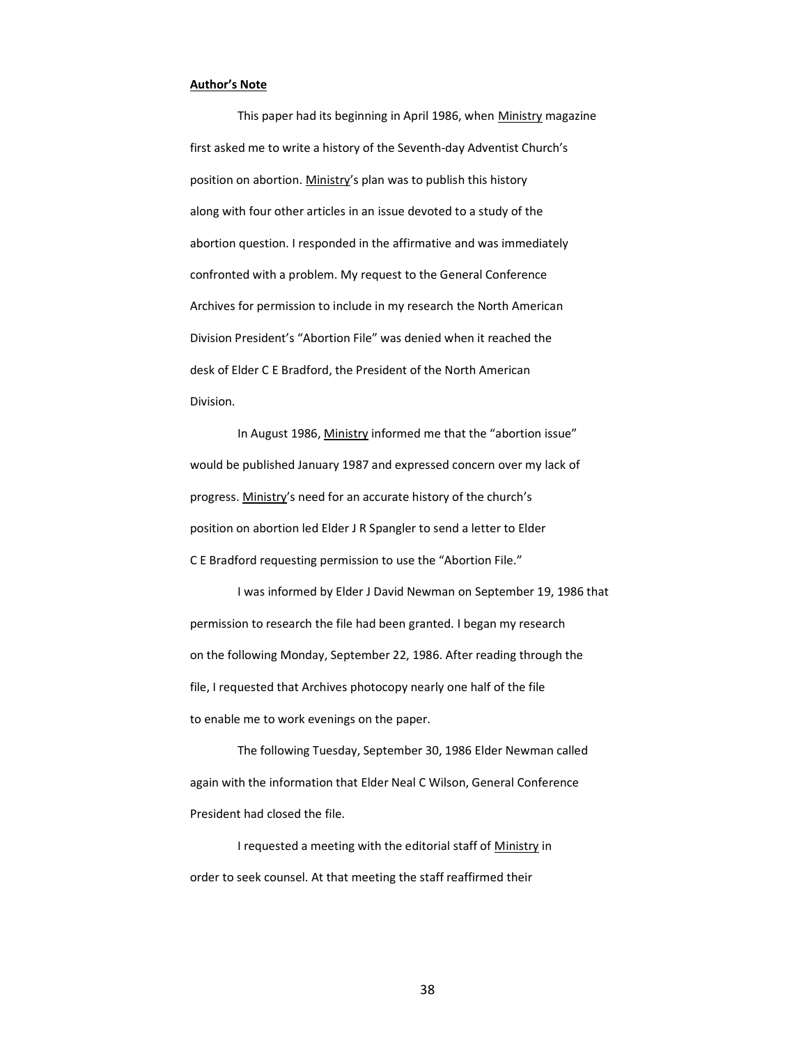## **Author's Note**

This paper had its beginning in April 1986, when Ministry magazine first asked me to write a history of the Seventh-day Adventist Church's position on abortion. Ministry's plan was to publish this history along with four other articles in an issue devoted to a study of the abortion question. I responded in the affirmative and was immediately confronted with a problem. My request to the General Conference Archives for permission to include in my research the North American Division President's "Abortion File" was denied when it reached the desk of Elder C E Bradford, the President of the North American Division.

In August 1986, Ministry informed me that the "abortion issue" would be published January 1987 and expressed concern over my lack of progress. Ministry's need for an accurate history of the church's position on abortion led Elder J R Spangler to send a letter to Elder C E Bradford requesting permission to use the "Abortion File."

I was informed by Elder J David Newman on September 19, 1986 that permission to research the file had been granted. I began my research on the following Monday, September 22, 1986. After reading through the file, I requested that Archives photocopy nearly one half of the file to enable me to work evenings on the paper.

The following Tuesday, September 30, 1986 Elder Newman called again with the information that Elder Neal C Wilson, General Conference President had closed the file.

I requested a meeting with the editorial staff of Ministry in order to seek counsel. At that meeting the staff reaffirmed their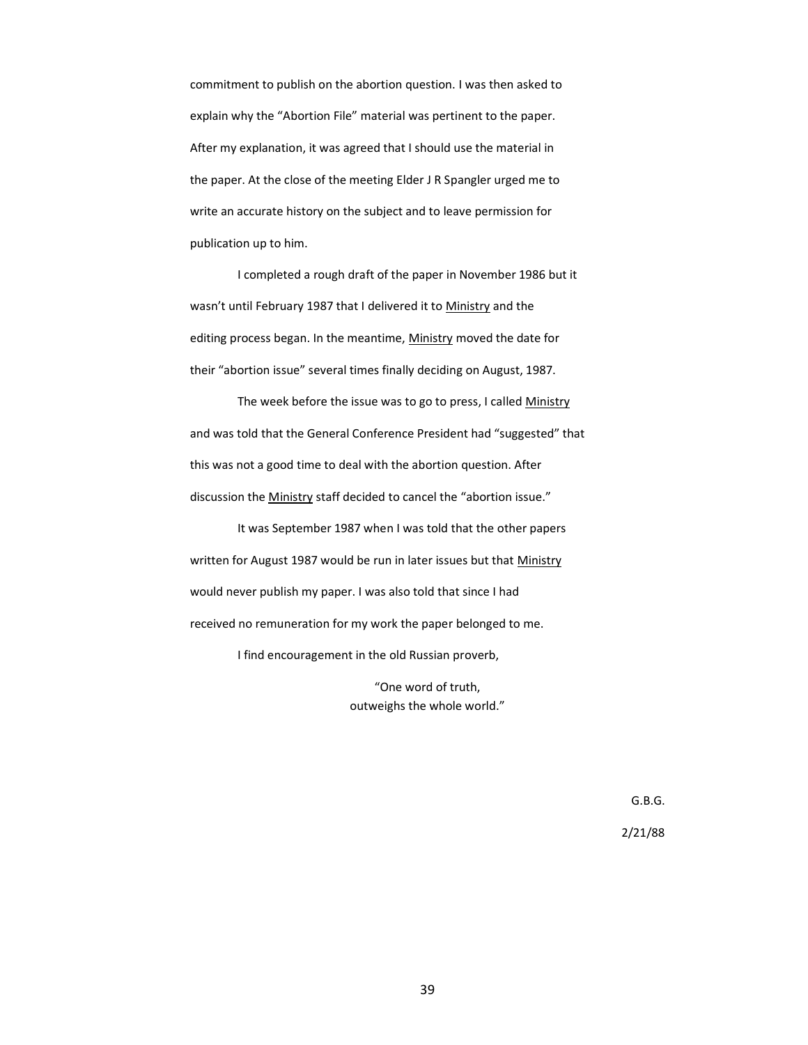commitment to publish on the abortion question. I was then asked to explain why the "Abortion File" material was pertinent to the paper. After my explanation, it was agreed that I should use the material in the paper. At the close of the meeting Elder J R Spangler urged me to write an accurate history on the subject and to leave permission for publication up to him.

I completed a rough draft of the paper in November 1986 but it wasn't until February 1987 that I delivered it to Ministry and the editing process began. In the meantime, Ministry moved the date for their "abortion issue" several times finally deciding on August, 1987.

The week before the issue was to go to press, I called Ministry and was told that the General Conference President had "suggested" that this was not a good time to deal with the abortion question. After discussion the Ministry staff decided to cancel the "abortion issue."

It was September 1987 when I was told that the other papers written for August 1987 would be run in later issues but that Ministry would never publish my paper. I was also told that since I had received no remuneration for my work the paper belonged to me.

I find encouragement in the old Russian proverb,

"One word of truth, outweighs the whole world."

> G.B.G. 2/21/88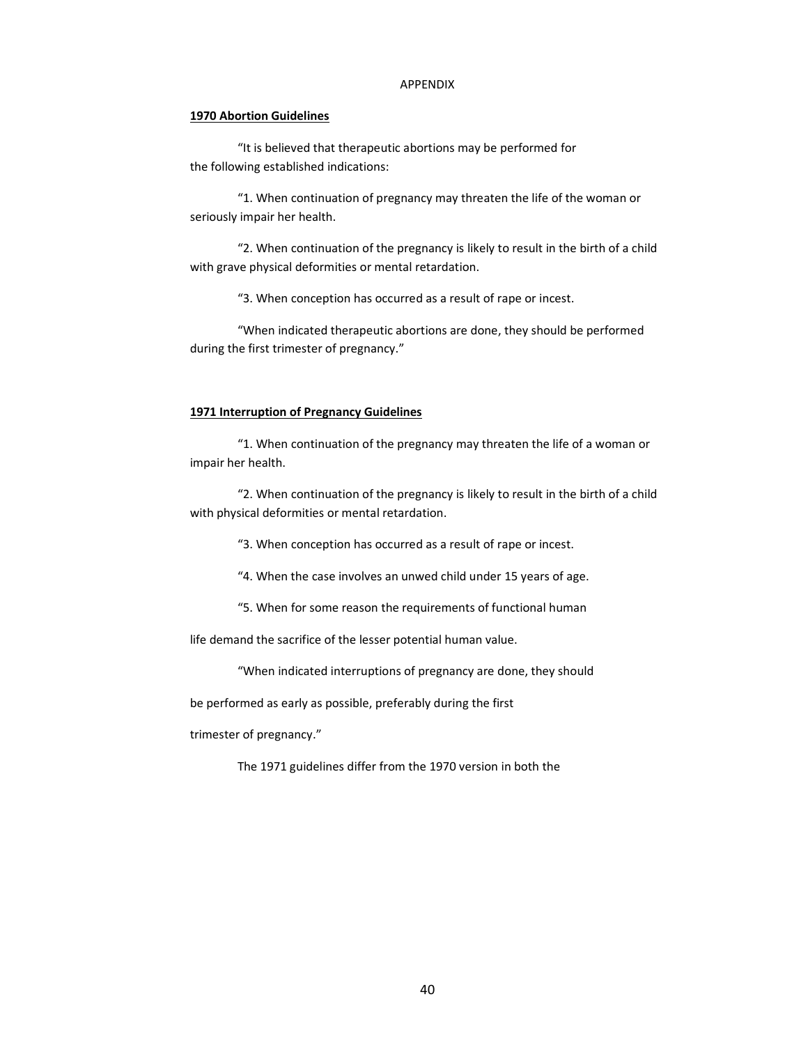## APPENDIX

## **1970 Abortion Guidelines**

"It is believed that therapeutic abortions may be performed for the following established indications:

"1. When continuation of pregnancy may threaten the life of the woman or seriously impair her health.

"2. When continuation of the pregnancy is likely to result in the birth of a child with grave physical deformities or mental retardation.

"3. When conception has occurred as a result of rape or incest.

"When indicated therapeutic abortions are done, they should be performed during the first trimester of pregnancy."

## **1971 Interruption of Pregnancy Guidelines**

"1. When continuation of the pregnancy may threaten the life of a woman or impair her health.

"2. When continuation of the pregnancy is likely to result in the birth of a child with physical deformities or mental retardation.

"3. When conception has occurred as a result of rape or incest.

"4. When the case involves an unwed child under 15 years of age.

"5. When for some reason the requirements of functional human

life demand the sacrifice of the lesser potential human value.

"When indicated interruptions of pregnancy are done, they should

be performed as early as possible, preferably during the first

trimester of pregnancy."

The 1971 guidelines differ from the 1970 version in both the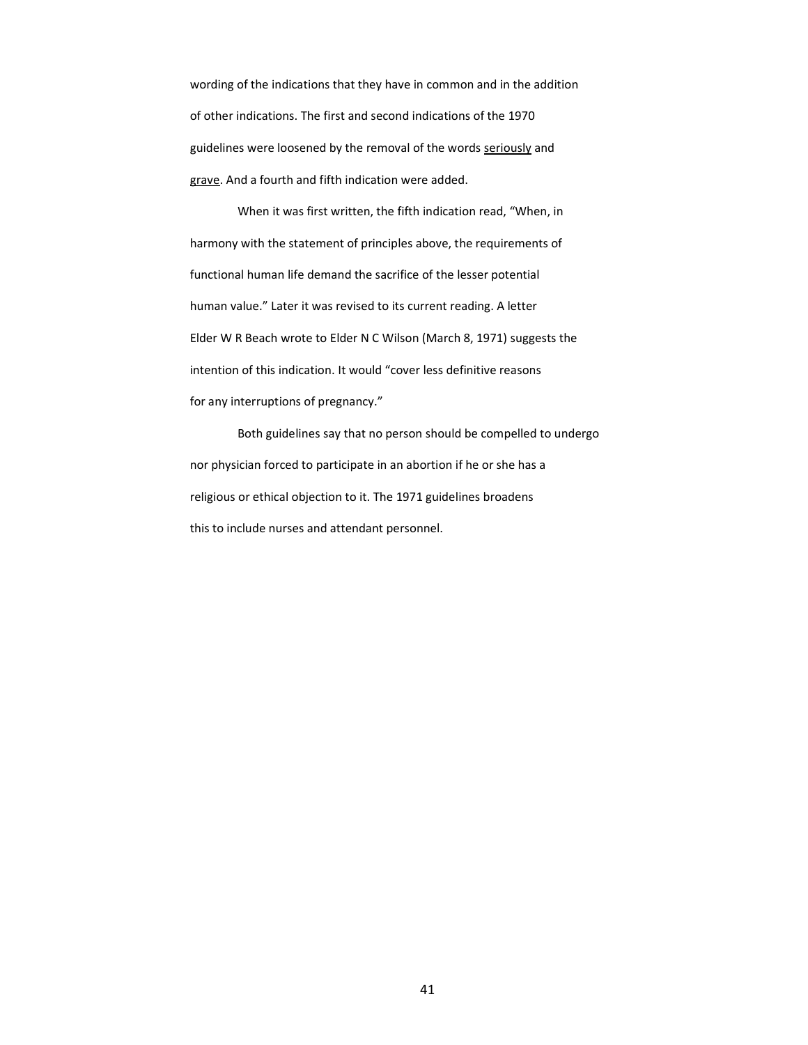wording of the indications that they have in common and in the addition of other indications. The first and second indications of the 1970 guidelines were loosened by the removal of the words seriously and grave. And a fourth and fifth indication were added.

When it was first written, the fifth indication read, "When, in harmony with the statement of principles above, the requirements of functional human life demand the sacrifice of the lesser potential human value." Later it was revised to its current reading. A letter Elder W R Beach wrote to Elder N C Wilson (March 8, 1971) suggests the intention of this indication. It would "cover less definitive reasons for any interruptions of pregnancy."

Both guidelines say that no person should be compelled to undergo nor physician forced to participate in an abortion if he or she has a religious or ethical objection to it. The 1971 guidelines broadens this to include nurses and attendant personnel.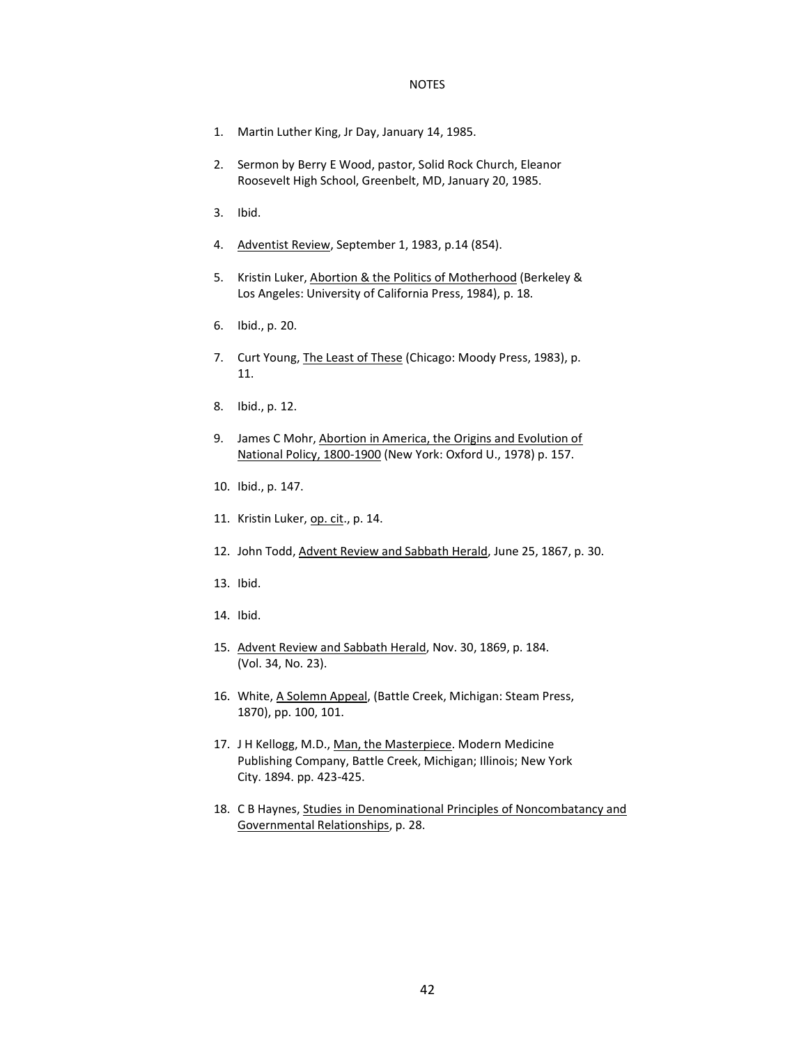## NOTES

- 1. Martin Luther King, Jr Day, January 14, 1985.
- 2. Sermon by Berry E Wood, pastor, Solid Rock Church, Eleanor Roosevelt High School, Greenbelt, MD, January 20, 1985.
- 3. Ibid.
- 4. Adventist Review, September 1, 1983, p.14 (854).
- 5. Kristin Luker, Abortion & the Politics of Motherhood (Berkeley & Los Angeles: University of California Press, 1984), p. 18.
- 6. Ibid., p. 20.
- 7. Curt Young, The Least of These (Chicago: Moody Press, 1983), p. 11.
- 8. Ibid., p. 12.
- 9. James C Mohr, Abortion in America, the Origins and Evolution of National Policy, 1800-1900 (New York: Oxford U., 1978) p. 157.
- 10. Ibid., p. 147.
- 11. Kristin Luker, op. cit., p. 14.
- 12. John Todd, Advent Review and Sabbath Herald, June 25, 1867, p. 30.
- 13. Ibid.
- 14. Ibid.
- 15. Advent Review and Sabbath Herald, Nov. 30, 1869, p. 184. (Vol. 34, No. 23).
- 16. White, A Solemn Appeal, (Battle Creek, Michigan: Steam Press, 1870), pp. 100, 101.
- 17. J H Kellogg, M.D., Man, the Masterpiece. Modern Medicine Publishing Company, Battle Creek, Michigan; Illinois; New York City. 1894. pp. 423-425.
- 18. C B Haynes, Studies in Denominational Principles of Noncombatancy and Governmental Relationships, p. 28.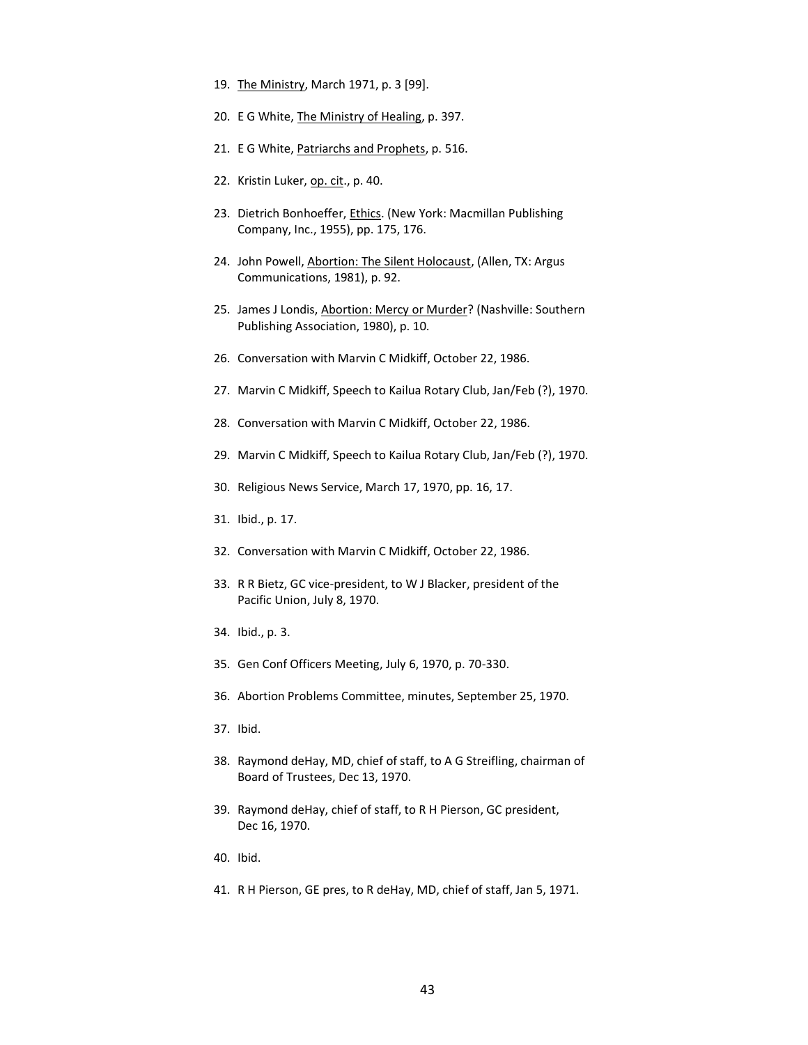- 19. The Ministry, March 1971, p. 3 [99].
- 20. E G White, The Ministry of Healing, p. 397.
- 21. E G White, Patriarchs and Prophets, p. 516.
- 22. Kristin Luker, op. cit., p. 40.
- 23. Dietrich Bonhoeffer, Ethics. (New York: Macmillan Publishing Company, Inc., 1955), pp. 175, 176.
- 24. John Powell, Abortion: The Silent Holocaust, (Allen, TX: Argus Communications, 1981), p. 92.
- 25. James J Londis, Abortion: Mercy or Murder? (Nashville: Southern Publishing Association, 1980), p. 10.
- 26. Conversation with Marvin C Midkiff, October 22, 1986.
- 27. Marvin C Midkiff, Speech to Kailua Rotary Club, Jan/Feb (?), 1970.
- 28. Conversation with Marvin C Midkiff, October 22, 1986.
- 29. Marvin C Midkiff, Speech to Kailua Rotary Club, Jan/Feb (?), 1970.
- 30. Religious News Service, March 17, 1970, pp. 16, 17.
- 31. Ibid., p. 17.
- 32. Conversation with Marvin C Midkiff, October 22, 1986.
- 33. R R Bietz, GC vice-president, to W J Blacker, president of the Pacific Union, July 8, 1970.
- 34. Ibid., p. 3.
- 35. Gen Conf Officers Meeting, July 6, 1970, p. 70-330.
- 36. Abortion Problems Committee, minutes, September 25, 1970.
- 37. Ibid.
- 38. Raymond deHay, MD, chief of staff, to A G Streifling, chairman of Board of Trustees, Dec 13, 1970.
- 39. Raymond deHay, chief of staff, to R H Pierson, GC president, Dec 16, 1970.
- 40. Ibid.
- 41. R H Pierson, GE pres, to R deHay, MD, chief of staff, Jan 5, 1971.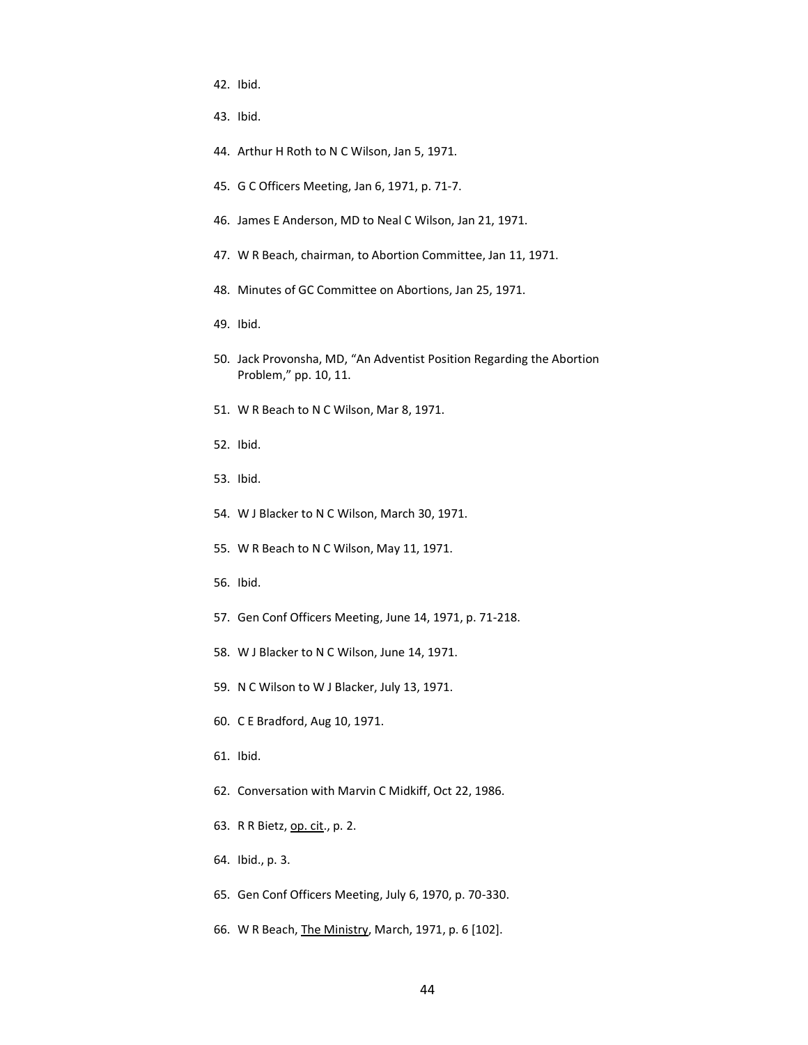- 42. Ibid.
- 43. Ibid.
- 44. Arthur H Roth to N C Wilson, Jan 5, 1971.
- 45. G C Officers Meeting, Jan 6, 1971, p. 71-7.
- 46. James E Anderson, MD to Neal C Wilson, Jan 21, 1971.
- 47. W R Beach, chairman, to Abortion Committee, Jan 11, 1971.
- 48. Minutes of GC Committee on Abortions, Jan 25, 1971.
- 49. Ibid.
- 50. Jack Provonsha, MD, "An Adventist Position Regarding the Abortion Problem," pp. 10, 11.
- 51. W R Beach to N C Wilson, Mar 8, 1971.
- 52. Ibid.
- 53. Ibid.
- 54. W J Blacker to N C Wilson, March 30, 1971.
- 55. W R Beach to N C Wilson, May 11, 1971.
- 56. Ibid.
- 57. Gen Conf Officers Meeting, June 14, 1971, p. 71-218.
- 58. W J Blacker to N C Wilson, June 14, 1971.
- 59. N C Wilson to W J Blacker, July 13, 1971.
- 60. C E Bradford, Aug 10, 1971.
- 61. Ibid.
- 62. Conversation with Marvin C Midkiff, Oct 22, 1986.
- 63. R R Bietz, op. cit., p. 2.
- 64. Ibid., p. 3.
- 65. Gen Conf Officers Meeting, July 6, 1970, p. 70-330.
- 66. W R Beach, The Ministry, March, 1971, p. 6 [102].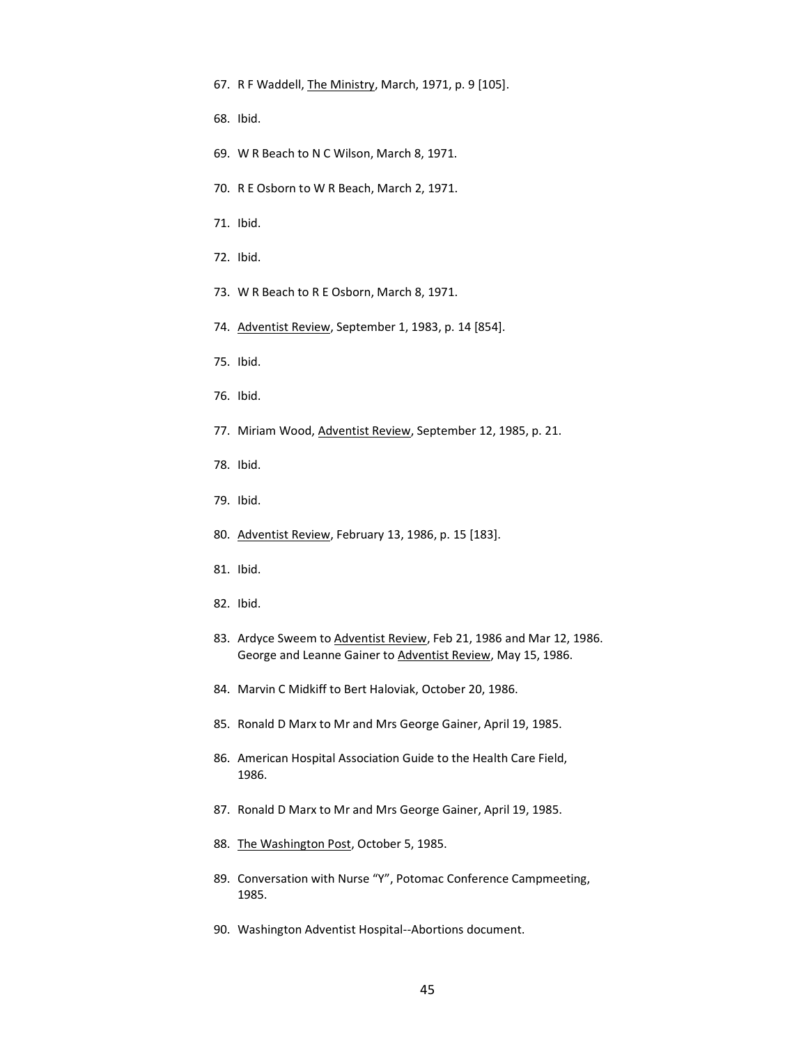- 67. R F Waddell, The Ministry, March, 1971, p. 9 [105].
- 68. Ibid.
- 69. W R Beach to N C Wilson, March 8, 1971.
- 70. R E Osborn to W R Beach, March 2, 1971.
- 71. Ibid.
- 72. Ibid.
- 73. W R Beach to R E Osborn, March 8, 1971.
- 74. Adventist Review, September 1, 1983, p. 14 [854].
- 75. Ibid.
- 76. Ibid.
- 77. Miriam Wood, Adventist Review, September 12, 1985, p. 21.
- 78. Ibid.
- 79. Ibid.
- 80. Adventist Review, February 13, 1986, p. 15 [183].
- 81. Ibid.
- 82. Ibid.
- 83. Ardyce Sweem to Adventist Review, Feb 21, 1986 and Mar 12, 1986. George and Leanne Gainer to Adventist Review, May 15, 1986.
- 84. Marvin C Midkiff to Bert Haloviak, October 20, 1986.
- 85. Ronald D Marx to Mr and Mrs George Gainer, April 19, 1985.
- 86. American Hospital Association Guide to the Health Care Field, 1986.
- 87. Ronald D Marx to Mr and Mrs George Gainer, April 19, 1985.
- 88. The Washington Post, October 5, 1985.
- 89. Conversation with Nurse "Y", Potomac Conference Campmeeting, 1985.
- 90. Washington Adventist Hospital--Abortions document.